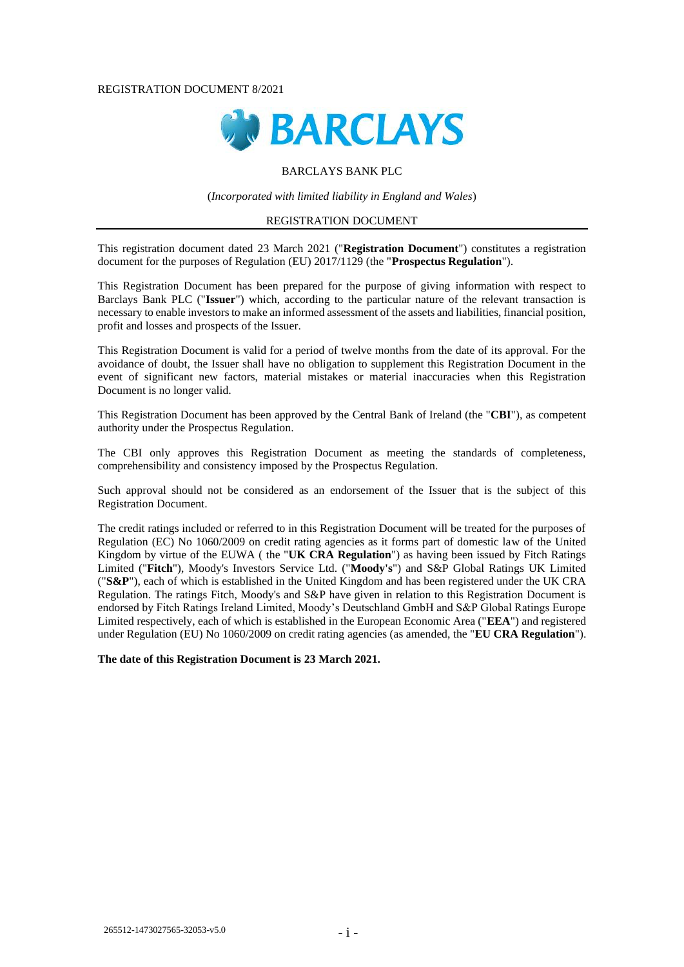#### REGISTRATION DOCUMENT 8/2021



## BARCLAYS BANK PLC

(*Incorporated with limited liability in England and Wales*)

## REGISTRATION DOCUMENT

This registration document dated 23 March 2021 ("**Registration Document**") constitutes a registration document for the purposes of Regulation (EU) 2017/1129 (the "**Prospectus Regulation**").

This Registration Document has been prepared for the purpose of giving information with respect to Barclays Bank PLC ("**Issuer**") which, according to the particular nature of the relevant transaction is necessary to enable investors to make an informed assessment of the assets and liabilities, financial position, profit and losses and prospects of the Issuer.

This Registration Document is valid for a period of twelve months from the date of its approval. For the avoidance of doubt, the Issuer shall have no obligation to supplement this Registration Document in the event of significant new factors, material mistakes or material inaccuracies when this Registration Document is no longer valid.

This Registration Document has been approved by the Central Bank of Ireland (the "**CBI**"), as competent authority under the Prospectus Regulation.

The CBI only approves this Registration Document as meeting the standards of completeness, comprehensibility and consistency imposed by the Prospectus Regulation.

Such approval should not be considered as an endorsement of the Issuer that is the subject of this Registration Document.

The credit ratings included or referred to in this Registration Document will be treated for the purposes of Regulation (EC) No 1060/2009 on credit rating agencies as it forms part of domestic law of the United Kingdom by virtue of the EUWA ( the "**UK CRA Regulation**") as having been issued by Fitch Ratings Limited ("**Fitch**"), Moody's Investors Service Ltd. ("**Moody's**") and S&P Global Ratings UK Limited ("**S&P**"), each of which is established in the United Kingdom and has been registered under the UK CRA Regulation. The ratings Fitch, Moody's and S&P have given in relation to this Registration Document is endorsed by Fitch Ratings Ireland Limited, Moody's Deutschland GmbH and S&P Global Ratings Europe Limited respectively, each of which is established in the European Economic Area ("**EEA**") and registered under Regulation (EU) No 1060/2009 on credit rating agencies (as amended, the "**EU CRA Regulation**").

**The date of this Registration Document is 23 March 2021.**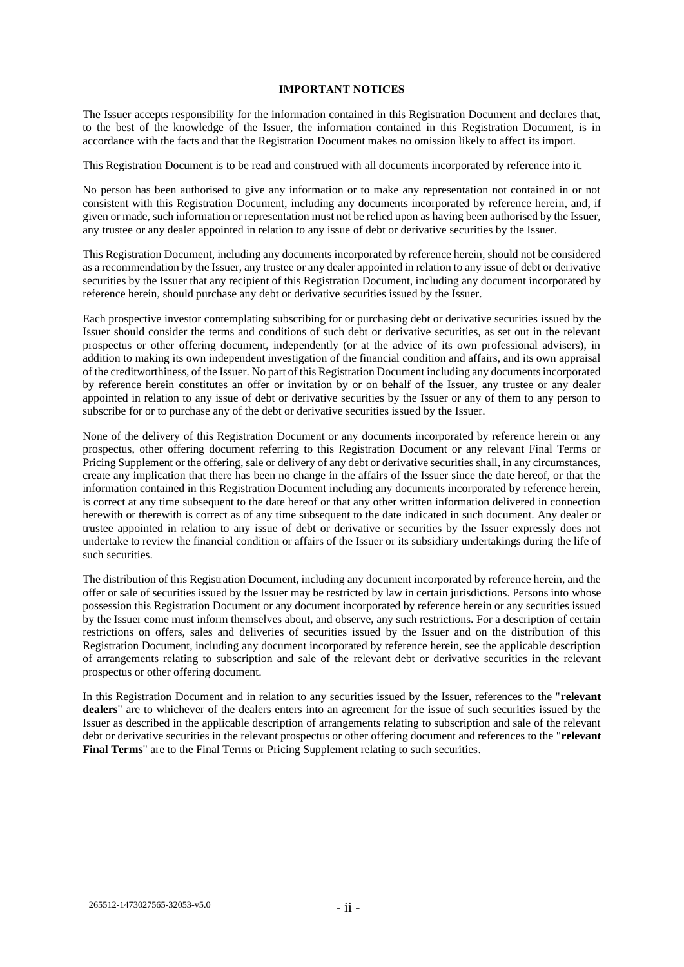#### **IMPORTANT NOTICES**

The Issuer accepts responsibility for the information contained in this Registration Document and declares that, to the best of the knowledge of the Issuer, the information contained in this Registration Document, is in accordance with the facts and that the Registration Document makes no omission likely to affect its import.

This Registration Document is to be read and construed with all documents incorporated by reference into it.

No person has been authorised to give any information or to make any representation not contained in or not consistent with this Registration Document, including any documents incorporated by reference herein, and, if given or made, such information or representation must not be relied upon as having been authorised by the Issuer, any trustee or any dealer appointed in relation to any issue of debt or derivative securities by the Issuer.

This Registration Document, including any documents incorporated by reference herein, should not be considered as a recommendation by the Issuer, any trustee or any dealer appointed in relation to any issue of debt or derivative securities by the Issuer that any recipient of this Registration Document, including any document incorporated by reference herein, should purchase any debt or derivative securities issued by the Issuer.

Each prospective investor contemplating subscribing for or purchasing debt or derivative securities issued by the Issuer should consider the terms and conditions of such debt or derivative securities, as set out in the relevant prospectus or other offering document, independently (or at the advice of its own professional advisers), in addition to making its own independent investigation of the financial condition and affairs, and its own appraisal of the creditworthiness, of the Issuer. No part of this Registration Document including any documents incorporated by reference herein constitutes an offer or invitation by or on behalf of the Issuer, any trustee or any dealer appointed in relation to any issue of debt or derivative securities by the Issuer or any of them to any person to subscribe for or to purchase any of the debt or derivative securities issued by the Issuer.

None of the delivery of this Registration Document or any documents incorporated by reference herein or any prospectus, other offering document referring to this Registration Document or any relevant Final Terms or Pricing Supplement or the offering, sale or delivery of any debt or derivative securities shall, in any circumstances, create any implication that there has been no change in the affairs of the Issuer since the date hereof, or that the information contained in this Registration Document including any documents incorporated by reference herein, is correct at any time subsequent to the date hereof or that any other written information delivered in connection herewith or therewith is correct as of any time subsequent to the date indicated in such document. Any dealer or trustee appointed in relation to any issue of debt or derivative or securities by the Issuer expressly does not undertake to review the financial condition or affairs of the Issuer or its subsidiary undertakings during the life of such securities.

The distribution of this Registration Document, including any document incorporated by reference herein, and the offer or sale of securities issued by the Issuer may be restricted by law in certain jurisdictions. Persons into whose possession this Registration Document or any document incorporated by reference herein or any securities issued by the Issuer come must inform themselves about, and observe, any such restrictions. For a description of certain restrictions on offers, sales and deliveries of securities issued by the Issuer and on the distribution of this Registration Document, including any document incorporated by reference herein, see the applicable description of arrangements relating to subscription and sale of the relevant debt or derivative securities in the relevant prospectus or other offering document.

In this Registration Document and in relation to any securities issued by the Issuer, references to the "**relevant dealers**" are to whichever of the dealers enters into an agreement for the issue of such securities issued by the Issuer as described in the applicable description of arrangements relating to subscription and sale of the relevant debt or derivative securities in the relevant prospectus or other offering document and references to the "**relevant Final Terms**" are to the Final Terms or Pricing Supplement relating to such securities.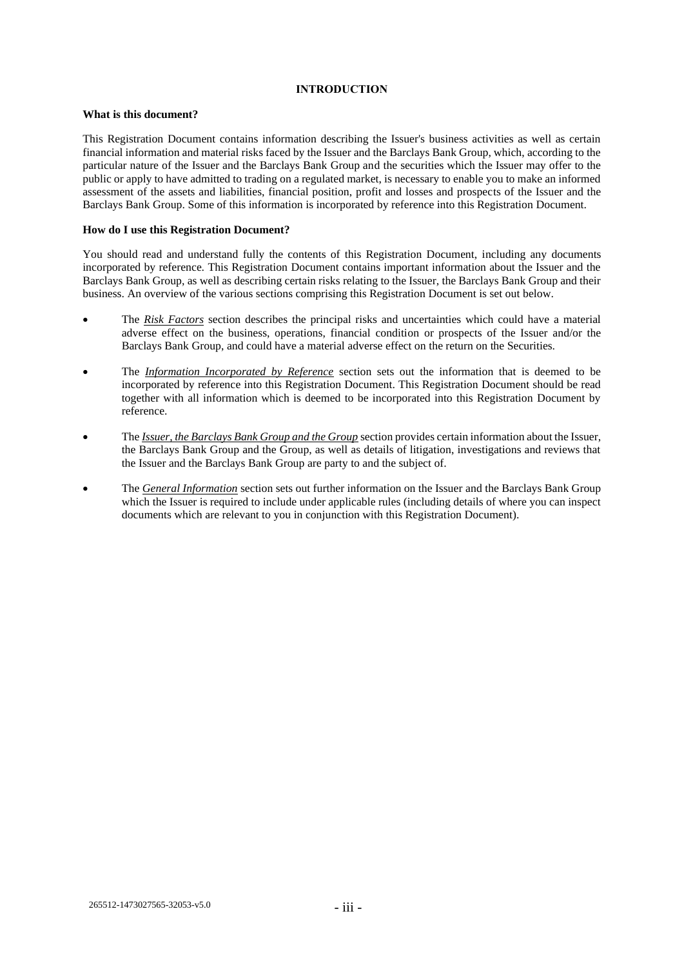## **INTRODUCTION**

### **What is this document?**

This Registration Document contains information describing the Issuer's business activities as well as certain financial information and material risks faced by the Issuer and the Barclays Bank Group, which, according to the particular nature of the Issuer and the Barclays Bank Group and the securities which the Issuer may offer to the public or apply to have admitted to trading on a regulated market, is necessary to enable you to make an informed assessment of the assets and liabilities, financial position, profit and losses and prospects of the Issuer and the Barclays Bank Group. Some of this information is incorporated by reference into this Registration Document.

### **How do I use this Registration Document?**

You should read and understand fully the contents of this Registration Document, including any documents incorporated by reference. This Registration Document contains important information about the Issuer and the Barclays Bank Group, as well as describing certain risks relating to the Issuer, the Barclays Bank Group and their business. An overview of the various sections comprising this Registration Document is set out below.

- The *Risk Factors* section describes the principal risks and uncertainties which could have a material adverse effect on the business, operations, financial condition or prospects of the Issuer and/or the Barclays Bank Group, and could have a material adverse effect on the return on the Securities.
- The *Information Incorporated by Reference* section sets out the information that is deemed to be incorporated by reference into this Registration Document. This Registration Document should be read together with all information which is deemed to be incorporated into this Registration Document by reference.
- The *Issuer, the Barclays Bank Group and the Group* section provides certain information about the Issuer, the Barclays Bank Group and the Group, as well as details of litigation, investigations and reviews that the Issuer and the Barclays Bank Group are party to and the subject of.
- The *General Information* section sets out further information on the Issuer and the Barclays Bank Group which the Issuer is required to include under applicable rules (including details of where you can inspect documents which are relevant to you in conjunction with this Registration Document).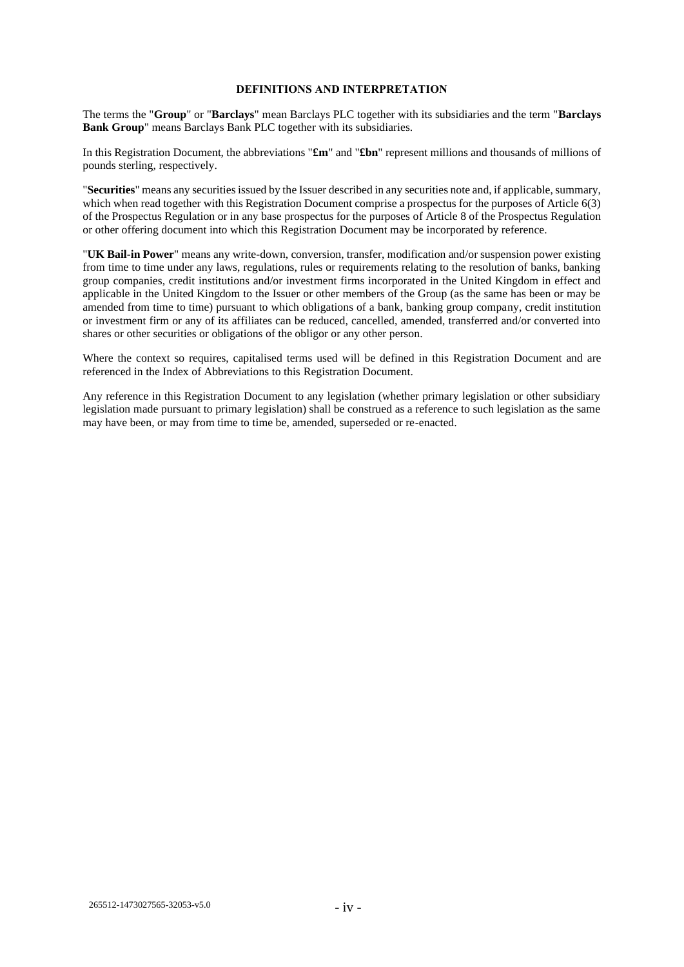### **DEFINITIONS AND INTERPRETATION**

The terms the "**Group**" or "**Barclays**" mean Barclays PLC together with its subsidiaries and the term "**Barclays Bank Group**" means Barclays Bank PLC together with its subsidiaries.

In this Registration Document, the abbreviations "**£m**" and "**£bn**" represent millions and thousands of millions of pounds sterling, respectively.

"**Securities**" means any securities issued by the Issuer described in any securities note and, if applicable, summary, which when read together with this Registration Document comprise a prospectus for the purposes of Article 6(3) of the Prospectus Regulation or in any base prospectus for the purposes of Article 8 of the Prospectus Regulation or other offering document into which this Registration Document may be incorporated by reference.

"**UK Bail-in Power**" means any write-down, conversion, transfer, modification and/or suspension power existing from time to time under any laws, regulations, rules or requirements relating to the resolution of banks, banking group companies, credit institutions and/or investment firms incorporated in the United Kingdom in effect and applicable in the United Kingdom to the Issuer or other members of the Group (as the same has been or may be amended from time to time) pursuant to which obligations of a bank, banking group company, credit institution or investment firm or any of its affiliates can be reduced, cancelled, amended, transferred and/or converted into shares or other securities or obligations of the obligor or any other person.

Where the context so requires, capitalised terms used will be defined in this Registration Document and are referenced in the Index of Abbreviations to this Registration Document.

Any reference in this Registration Document to any legislation (whether primary legislation or other subsidiary legislation made pursuant to primary legislation) shall be construed as a reference to such legislation as the same may have been, or may from time to time be, amended, superseded or re-enacted.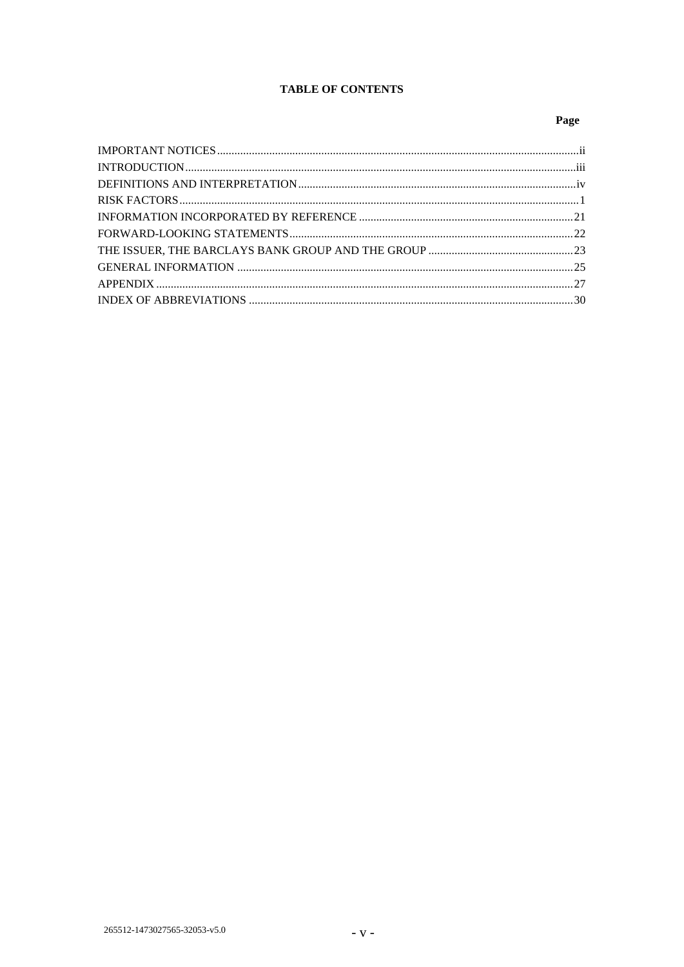# **TABLE OF CONTENTS**

# Page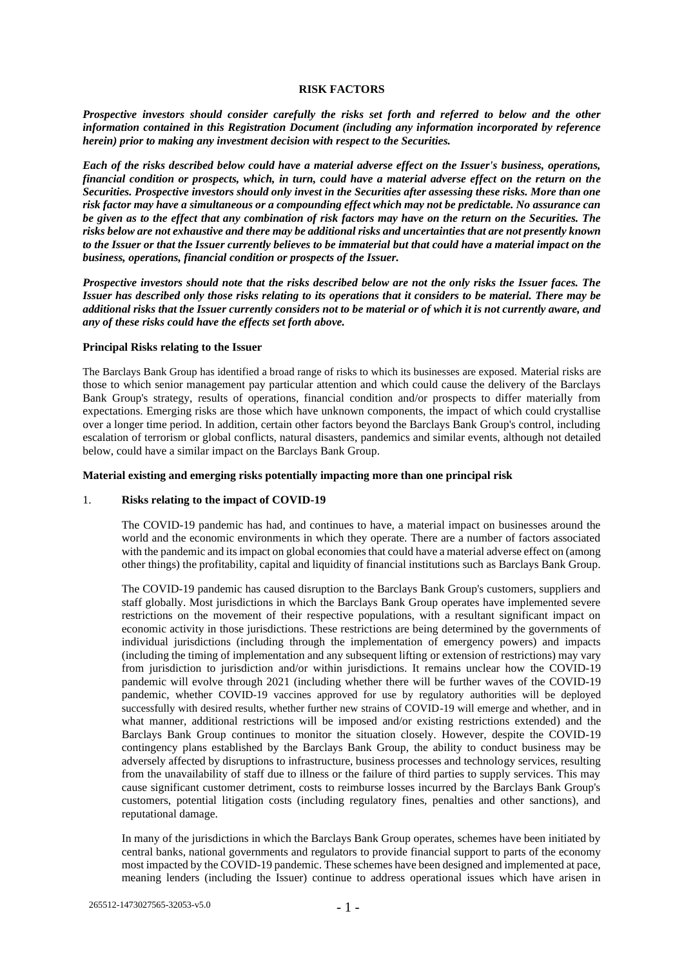#### **RISK FACTORS**

*Prospective investors should consider carefully the risks set forth and referred to below and the other information contained in this Registration Document (including any information incorporated by reference herein) prior to making any investment decision with respect to the Securities.*

*Each of the risks described below could have a material adverse effect on the Issuer's business, operations, financial condition or prospects, which, in turn, could have a material adverse effect on the return on the Securities. Prospective investors should only invest in the Securities after assessing these risks. More than one risk factor may have a simultaneous or a compounding effect which may not be predictable. No assurance can be given as to the effect that any combination of risk factors may have on the return on the Securities. The risks below are not exhaustive and there may be additional risks and uncertainties that are not presently known to the Issuer or that the Issuer currently believes to be immaterial but that could have a material impact on the business, operations, financial condition or prospects of the Issuer.*

*Prospective investors should note that the risks described below are not the only risks the Issuer faces. The Issuer has described only those risks relating to its operations that it considers to be material. There may be additional risks that the Issuer currently considers not to be material or of which it is not currently aware, and any of these risks could have the effects set forth above.*

#### **Principal Risks relating to the Issuer**

The Barclays Bank Group has identified a broad range of risks to which its businesses are exposed. Material risks are those to which senior management pay particular attention and which could cause the delivery of the Barclays Bank Group's strategy, results of operations, financial condition and/or prospects to differ materially from expectations. Emerging risks are those which have unknown components, the impact of which could crystallise over a longer time period. In addition, certain other factors beyond the Barclays Bank Group's control, including escalation of terrorism or global conflicts, natural disasters, pandemics and similar events, although not detailed below, could have a similar impact on the Barclays Bank Group.

#### **Material existing and emerging risks potentially impacting more than one principal risk**

#### 1. **Risks relating to the impact of COVID-19**

The COVID-19 pandemic has had, and continues to have, a material impact on businesses around the world and the economic environments in which they operate. There are a number of factors associated with the pandemic and its impact on global economies that could have a material adverse effect on (among other things) the profitability, capital and liquidity of financial institutions such as Barclays Bank Group.

The COVID-19 pandemic has caused disruption to the Barclays Bank Group's customers, suppliers and staff globally. Most jurisdictions in which the Barclays Bank Group operates have implemented severe restrictions on the movement of their respective populations, with a resultant significant impact on economic activity in those jurisdictions. These restrictions are being determined by the governments of individual jurisdictions (including through the implementation of emergency powers) and impacts (including the timing of implementation and any subsequent lifting or extension of restrictions) may vary from jurisdiction to jurisdiction and/or within jurisdictions. It remains unclear how the COVID-19 pandemic will evolve through 2021 (including whether there will be further waves of the COVID-19 pandemic, whether COVID-19 vaccines approved for use by regulatory authorities will be deployed successfully with desired results, whether further new strains of COVID-19 will emerge and whether, and in what manner, additional restrictions will be imposed and/or existing restrictions extended) and the Barclays Bank Group continues to monitor the situation closely. However, despite the COVID-19 contingency plans established by the Barclays Bank Group, the ability to conduct business may be adversely affected by disruptions to infrastructure, business processes and technology services, resulting from the unavailability of staff due to illness or the failure of third parties to supply services. This may cause significant customer detriment, costs to reimburse losses incurred by the Barclays Bank Group's customers, potential litigation costs (including regulatory fines, penalties and other sanctions), and reputational damage.

In many of the jurisdictions in which the Barclays Bank Group operates, schemes have been initiated by central banks, national governments and regulators to provide financial support to parts of the economy most impacted by the COVID-19 pandemic. These schemes have been designed and implemented at pace, meaning lenders (including the Issuer) continue to address operational issues which have arisen in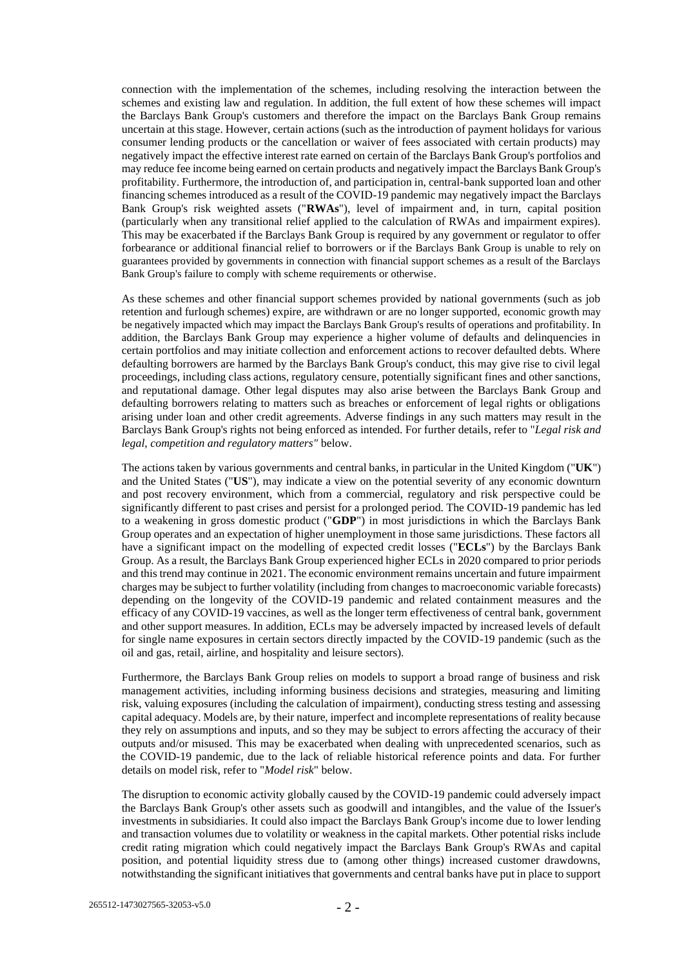connection with the implementation of the schemes, including resolving the interaction between the schemes and existing law and regulation. In addition, the full extent of how these schemes will impact the Barclays Bank Group's customers and therefore the impact on the Barclays Bank Group remains uncertain at this stage. However, certain actions (such as the introduction of payment holidays for various consumer lending products or the cancellation or waiver of fees associated with certain products) may negatively impact the effective interest rate earned on certain of the Barclays Bank Group's portfolios and may reduce fee income being earned on certain products and negatively impact the Barclays Bank Group's profitability. Furthermore, the introduction of, and participation in, central-bank supported loan and other financing schemes introduced as a result of the COVID-19 pandemic may negatively impact the Barclays Bank Group's risk weighted assets ("**RWAs**"), level of impairment and, in turn, capital position (particularly when any transitional relief applied to the calculation of RWAs and impairment expires). This may be exacerbated if the Barclays Bank Group is required by any government or regulator to offer forbearance or additional financial relief to borrowers or if the Barclays Bank Group is unable to rely on guarantees provided by governments in connection with financial support schemes as a result of the Barclays Bank Group's failure to comply with scheme requirements or otherwise.

As these schemes and other financial support schemes provided by national governments (such as job retention and furlough schemes) expire, are withdrawn or are no longer supported, economic growth may be negatively impacted which may impact the Barclays Bank Group's results of operations and profitability. In addition, the Barclays Bank Group may experience a higher volume of defaults and delinquencies in certain portfolios and may initiate collection and enforcement actions to recover defaulted debts. Where defaulting borrowers are harmed by the Barclays Bank Group's conduct, this may give rise to civil legal proceedings, including class actions, regulatory censure, potentially significant fines and other sanctions, and reputational damage. Other legal disputes may also arise between the Barclays Bank Group and defaulting borrowers relating to matters such as breaches or enforcement of legal rights or obligations arising under loan and other credit agreements. Adverse findings in any such matters may result in the Barclays Bank Group's rights not being enforced as intended. For further details, refer to "*Legal risk and legal, competition and regulatory matters"* below.

The actions taken by various governments and central banks, in particular in the United Kingdom ("**UK**") and the United States ("**US**"), may indicate a view on the potential severity of any economic downturn and post recovery environment, which from a commercial, regulatory and risk perspective could be significantly different to past crises and persist for a prolonged period. The COVID-19 pandemic has led to a weakening in gross domestic product ("**GDP**") in most jurisdictions in which the Barclays Bank Group operates and an expectation of higher unemployment in those same jurisdictions. These factors all have a significant impact on the modelling of expected credit losses ("**ECLs**") by the Barclays Bank Group. As a result, the Barclays Bank Group experienced higher ECLs in 2020 compared to prior periods and this trend may continue in 2021. The economic environment remains uncertain and future impairment charges may be subject to further volatility (including from changes to macroeconomic variable forecasts) depending on the longevity of the COVID-19 pandemic and related containment measures and the efficacy of any COVID-19 vaccines, as well as the longer term effectiveness of central bank, government and other support measures. In addition, ECLs may be adversely impacted by increased levels of default for single name exposures in certain sectors directly impacted by the COVID-19 pandemic (such as the oil and gas, retail, airline, and hospitality and leisure sectors).

Furthermore, the Barclays Bank Group relies on models to support a broad range of business and risk management activities, including informing business decisions and strategies, measuring and limiting risk, valuing exposures (including the calculation of impairment), conducting stress testing and assessing capital adequacy. Models are, by their nature, imperfect and incomplete representations of reality because they rely on assumptions and inputs, and so they may be subject to errors affecting the accuracy of their outputs and/or misused. This may be exacerbated when dealing with unprecedented scenarios, such as the COVID-19 pandemic, due to the lack of reliable historical reference points and data. For further details on model risk, refer to "*Model risk*" below.

The disruption to economic activity globally caused by the COVID-19 pandemic could adversely impact the Barclays Bank Group's other assets such as goodwill and intangibles, and the value of the Issuer's investments in subsidiaries. It could also impact the Barclays Bank Group's income due to lower lending and transaction volumes due to volatility or weakness in the capital markets. Other potential risks include credit rating migration which could negatively impact the Barclays Bank Group's RWAs and capital position, and potential liquidity stress due to (among other things) increased customer drawdowns, notwithstanding the significant initiatives that governments and central banks have put in place to support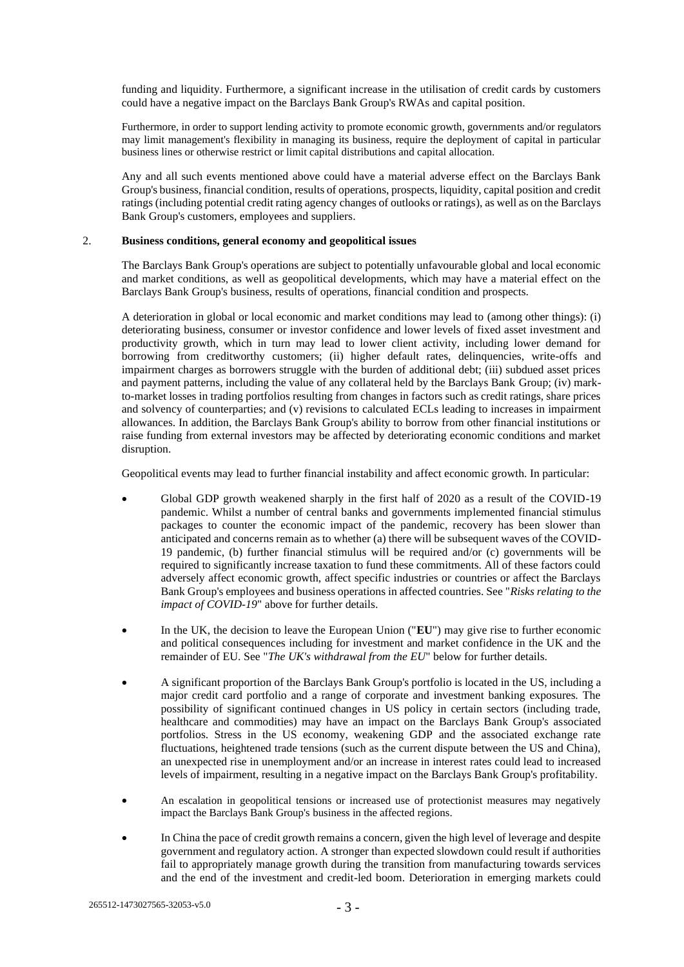funding and liquidity. Furthermore, a significant increase in the utilisation of credit cards by customers could have a negative impact on the Barclays Bank Group's RWAs and capital position.

Furthermore, in order to support lending activity to promote economic growth, governments and/or regulators may limit management's flexibility in managing its business, require the deployment of capital in particular business lines or otherwise restrict or limit capital distributions and capital allocation.

Any and all such events mentioned above could have a material adverse effect on the Barclays Bank Group's business, financial condition, results of operations, prospects, liquidity, capital position and credit ratings (including potential credit rating agency changes of outlooks or ratings), as well as on the Barclays Bank Group's customers, employees and suppliers.

#### 2. **Business conditions, general economy and geopolitical issues**

The Barclays Bank Group's operations are subject to potentially unfavourable global and local economic and market conditions, as well as geopolitical developments, which may have a material effect on the Barclays Bank Group's business, results of operations, financial condition and prospects.

A deterioration in global or local economic and market conditions may lead to (among other things): (i) deteriorating business, consumer or investor confidence and lower levels of fixed asset investment and productivity growth, which in turn may lead to lower client activity, including lower demand for borrowing from creditworthy customers; (ii) higher default rates, delinquencies, write-offs and impairment charges as borrowers struggle with the burden of additional debt; (iii) subdued asset prices and payment patterns, including the value of any collateral held by the Barclays Bank Group; (iv) markto-market losses in trading portfolios resulting from changes in factors such as credit ratings, share prices and solvency of counterparties; and (v) revisions to calculated ECLs leading to increases in impairment allowances. In addition, the Barclays Bank Group's ability to borrow from other financial institutions or raise funding from external investors may be affected by deteriorating economic conditions and market disruption.

Geopolitical events may lead to further financial instability and affect economic growth. In particular:

- Global GDP growth weakened sharply in the first half of 2020 as a result of the COVID-19 pandemic. Whilst a number of central banks and governments implemented financial stimulus packages to counter the economic impact of the pandemic, recovery has been slower than anticipated and concerns remain as to whether (a) there will be subsequent waves of the COVID-19 pandemic, (b) further financial stimulus will be required and/or (c) governments will be required to significantly increase taxation to fund these commitments. All of these factors could adversely affect economic growth, affect specific industries or countries or affect the Barclays Bank Group's employees and business operations in affected countries. See "*Risks relating to the impact of COVID-19*" above for further details.
- In the UK, the decision to leave the European Union ("**EU**") may give rise to further economic and political consequences including for investment and market confidence in the UK and the remainder of EU. See "*The UK's withdrawal from the EU*" below for further details.
- A significant proportion of the Barclays Bank Group's portfolio is located in the US, including a major credit card portfolio and a range of corporate and investment banking exposures. The possibility of significant continued changes in US policy in certain sectors (including trade, healthcare and commodities) may have an impact on the Barclays Bank Group's associated portfolios. Stress in the US economy, weakening GDP and the associated exchange rate fluctuations, heightened trade tensions (such as the current dispute between the US and China), an unexpected rise in unemployment and/or an increase in interest rates could lead to increased levels of impairment, resulting in a negative impact on the Barclays Bank Group's profitability.
- An escalation in geopolitical tensions or increased use of protectionist measures may negatively impact the Barclays Bank Group's business in the affected regions.
- In China the pace of credit growth remains a concern, given the high level of leverage and despite government and regulatory action. A stronger than expected slowdown could result if authorities fail to appropriately manage growth during the transition from manufacturing towards services and the end of the investment and credit-led boom. Deterioration in emerging markets could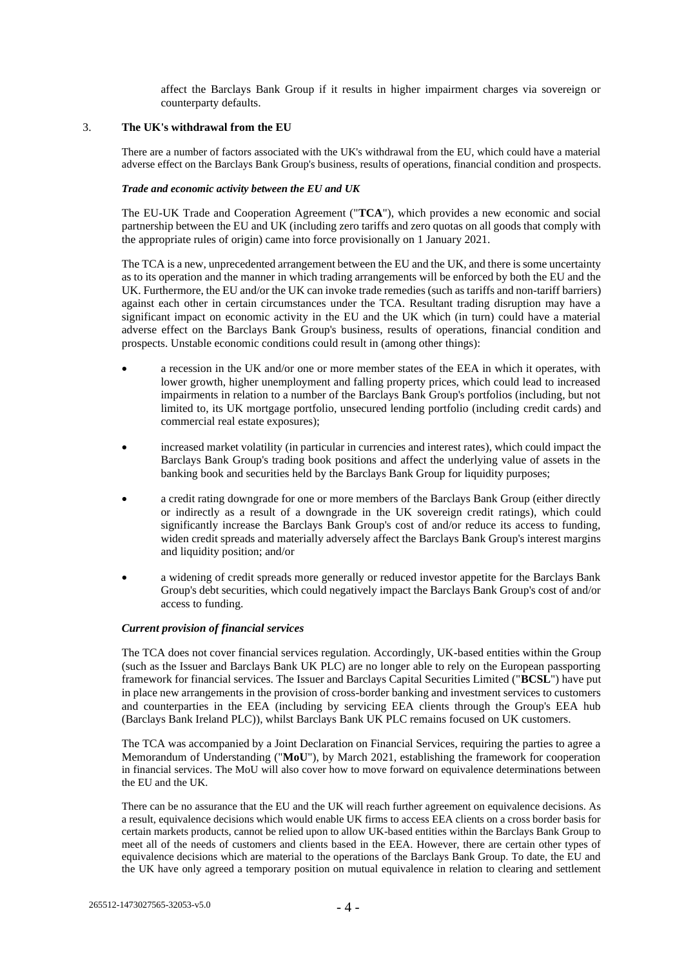affect the Barclays Bank Group if it results in higher impairment charges via sovereign or counterparty defaults.

### 3. **The UK's withdrawal from the EU**

There are a number of factors associated with the UK's withdrawal from the EU, which could have a material adverse effect on the Barclays Bank Group's business, results of operations, financial condition and prospects.

## *Trade and economic activity between the EU and UK*

The EU-UK Trade and Cooperation Agreement ("**TCA**"), which provides a new economic and social partnership between the EU and UK (including zero tariffs and zero quotas on all goods that comply with the appropriate rules of origin) came into force provisionally on 1 January 2021.

The TCA is a new, unprecedented arrangement between the EU and the UK, and there is some uncertainty as to its operation and the manner in which trading arrangements will be enforced by both the EU and the UK. Furthermore, the EU and/or the UK can invoke trade remedies (such as tariffs and non-tariff barriers) against each other in certain circumstances under the TCA. Resultant trading disruption may have a significant impact on economic activity in the EU and the UK which (in turn) could have a material adverse effect on the Barclays Bank Group's business, results of operations, financial condition and prospects. Unstable economic conditions could result in (among other things):

- a recession in the UK and/or one or more member states of the EEA in which it operates, with lower growth, higher unemployment and falling property prices, which could lead to increased impairments in relation to a number of the Barclays Bank Group's portfolios (including, but not limited to, its UK mortgage portfolio, unsecured lending portfolio (including credit cards) and commercial real estate exposures);
- increased market volatility (in particular in currencies and interest rates), which could impact the Barclays Bank Group's trading book positions and affect the underlying value of assets in the banking book and securities held by the Barclays Bank Group for liquidity purposes;
- a credit rating downgrade for one or more members of the Barclays Bank Group (either directly or indirectly as a result of a downgrade in the UK sovereign credit ratings), which could significantly increase the Barclays Bank Group's cost of and/or reduce its access to funding, widen credit spreads and materially adversely affect the Barclays Bank Group's interest margins and liquidity position; and/or
- a widening of credit spreads more generally or reduced investor appetite for the Barclays Bank Group's debt securities, which could negatively impact the Barclays Bank Group's cost of and/or access to funding.

#### *Current provision of financial services*

The TCA does not cover financial services regulation. Accordingly, UK-based entities within the Group (such as the Issuer and Barclays Bank UK PLC) are no longer able to rely on the European passporting framework for financial services. The Issuer and Barclays Capital Securities Limited ("**BCSL**") have put in place new arrangements in the provision of cross-border banking and investment services to customers and counterparties in the EEA (including by servicing EEA clients through the Group's EEA hub (Barclays Bank Ireland PLC)), whilst Barclays Bank UK PLC remains focused on UK customers.

The TCA was accompanied by a Joint Declaration on Financial Services, requiring the parties to agree a Memorandum of Understanding ("**MoU**"), by March 2021, establishing the framework for cooperation in financial services. The MoU will also cover how to move forward on equivalence determinations between the EU and the UK.

There can be no assurance that the EU and the UK will reach further agreement on equivalence decisions. As a result, equivalence decisions which would enable UK firms to access EEA clients on a cross border basis for certain markets products, cannot be relied upon to allow UK-based entities within the Barclays Bank Group to meet all of the needs of customers and clients based in the EEA. However, there are certain other types of equivalence decisions which are material to the operations of the Barclays Bank Group. To date, the EU and the UK have only agreed a temporary position on mutual equivalence in relation to clearing and settlement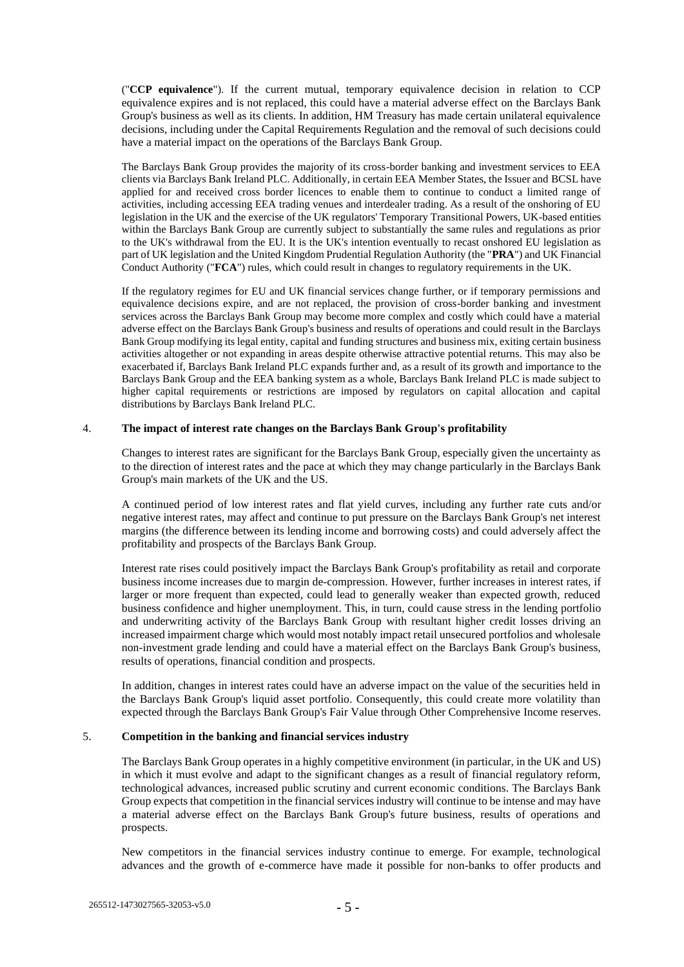("**CCP equivalence**"). If the current mutual, temporary equivalence decision in relation to CCP equivalence expires and is not replaced, this could have a material adverse effect on the Barclays Bank Group's business as well as its clients. In addition, HM Treasury has made certain unilateral equivalence decisions, including under the Capital Requirements Regulation and the removal of such decisions could have a material impact on the operations of the Barclays Bank Group.

The Barclays Bank Group provides the majority of its cross-border banking and investment services to EEA clients via Barclays Bank Ireland PLC. Additionally, in certain EEA Member States, the Issuer and BCSL have applied for and received cross border licences to enable them to continue to conduct a limited range of activities, including accessing EEA trading venues and interdealer trading. As a result of the onshoring of EU legislation in the UK and the exercise of the UK regulators' Temporary Transitional Powers, UK-based entities within the Barclays Bank Group are currently subject to substantially the same rules and regulations as prior to the UK's withdrawal from the EU. It is the UK's intention eventually to recast onshored EU legislation as part of UK legislation and the United Kingdom Prudential Regulation Authority (the "**PRA**") and UK Financial Conduct Authority ("**FCA**") rules, which could result in changes to regulatory requirements in the UK.

If the regulatory regimes for EU and UK financial services change further, or if temporary permissions and equivalence decisions expire, and are not replaced, the provision of cross-border banking and investment services across the Barclays Bank Group may become more complex and costly which could have a material adverse effect on the Barclays Bank Group's business and results of operations and could result in the Barclays Bank Group modifying its legal entity, capital and funding structures and business mix, exiting certain business activities altogether or not expanding in areas despite otherwise attractive potential returns. This may also be exacerbated if, Barclays Bank Ireland PLC expands further and, as a result of its growth and importance to the Barclays Bank Group and the EEA banking system as a whole, Barclays Bank Ireland PLC is made subject to higher capital requirements or restrictions are imposed by regulators on capital allocation and capital distributions by Barclays Bank Ireland PLC.

#### 4. **The impact of interest rate changes on the Barclays Bank Group's profitability**

Changes to interest rates are significant for the Barclays Bank Group, especially given the uncertainty as to the direction of interest rates and the pace at which they may change particularly in the Barclays Bank Group's main markets of the UK and the US.

A continued period of low interest rates and flat yield curves, including any further rate cuts and/or negative interest rates, may affect and continue to put pressure on the Barclays Bank Group's net interest margins (the difference between its lending income and borrowing costs) and could adversely affect the profitability and prospects of the Barclays Bank Group.

Interest rate rises could positively impact the Barclays Bank Group's profitability as retail and corporate business income increases due to margin de-compression. However, further increases in interest rates, if larger or more frequent than expected, could lead to generally weaker than expected growth, reduced business confidence and higher unemployment. This, in turn, could cause stress in the lending portfolio and underwriting activity of the Barclays Bank Group with resultant higher credit losses driving an increased impairment charge which would most notably impact retail unsecured portfolios and wholesale non-investment grade lending and could have a material effect on the Barclays Bank Group's business, results of operations, financial condition and prospects.

In addition, changes in interest rates could have an adverse impact on the value of the securities held in the Barclays Bank Group's liquid asset portfolio. Consequently, this could create more volatility than expected through the Barclays Bank Group's Fair Value through Other Comprehensive Income reserves.

## 5. **Competition in the banking and financial services industry**

The Barclays Bank Group operates in a highly competitive environment (in particular, in the UK and US) in which it must evolve and adapt to the significant changes as a result of financial regulatory reform, technological advances, increased public scrutiny and current economic conditions. The Barclays Bank Group expects that competition in the financial services industry will continue to be intense and may have a material adverse effect on the Barclays Bank Group's future business, results of operations and prospects.

New competitors in the financial services industry continue to emerge. For example, technological advances and the growth of e-commerce have made it possible for non-banks to offer products and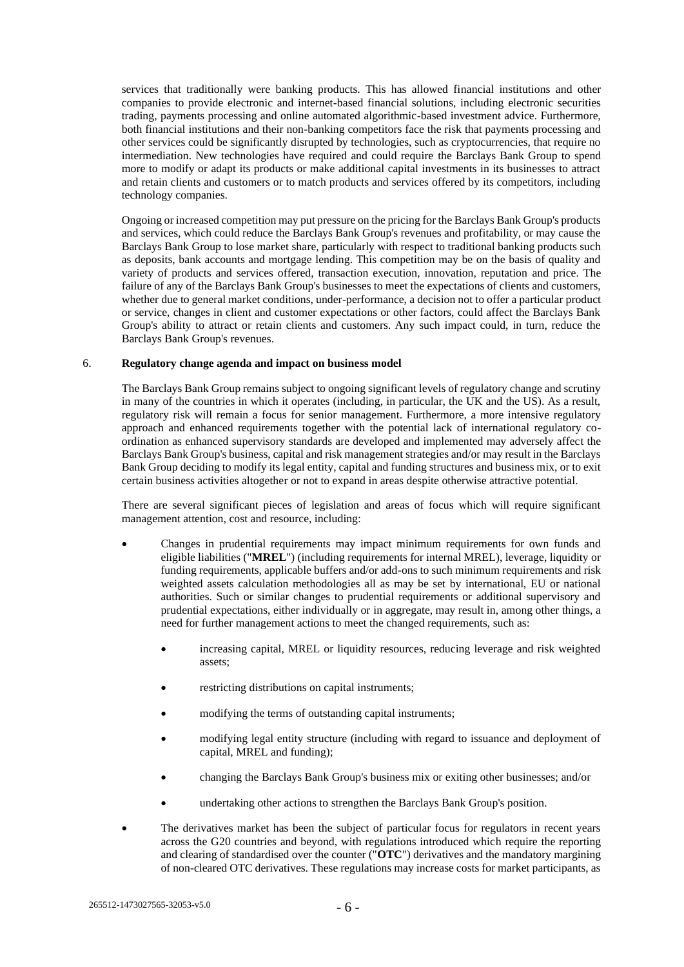services that traditionally were banking products. This has allowed financial institutions and other companies to provide electronic and internet-based financial solutions, including electronic securities trading, payments processing and online automated algorithmic-based investment advice. Furthermore, both financial institutions and their non-banking competitors face the risk that payments processing and other services could be significantly disrupted by technologies, such as cryptocurrencies, that require no intermediation. New technologies have required and could require the Barclays Bank Group to spend more to modify or adapt its products or make additional capital investments in its businesses to attract and retain clients and customers or to match products and services offered by its competitors, including technology companies.

Ongoing or increased competition may put pressure on the pricing for the Barclays Bank Group's products and services, which could reduce the Barclays Bank Group's revenues and profitability, or may cause the Barclays Bank Group to lose market share, particularly with respect to traditional banking products such as deposits, bank accounts and mortgage lending. This competition may be on the basis of quality and variety of products and services offered, transaction execution, innovation, reputation and price. The failure of any of the Barclays Bank Group's businesses to meet the expectations of clients and customers, whether due to general market conditions, under-performance, a decision not to offer a particular product or service, changes in client and customer expectations or other factors, could affect the Barclays Bank Group's ability to attract or retain clients and customers. Any such impact could, in turn, reduce the Barclays Bank Group's revenues.

#### 6. **Regulatory change agenda and impact on business model**

The Barclays Bank Group remains subject to ongoing significant levels of regulatory change and scrutiny in many of the countries in which it operates (including, in particular, the UK and the US). As a result, regulatory risk will remain a focus for senior management. Furthermore, a more intensive regulatory approach and enhanced requirements together with the potential lack of international regulatory coordination as enhanced supervisory standards are developed and implemented may adversely affect the Barclays Bank Group's business, capital and risk management strategies and/or may result in the Barclays Bank Group deciding to modify its legal entity, capital and funding structures and business mix, or to exit certain business activities altogether or not to expand in areas despite otherwise attractive potential.

There are several significant pieces of legislation and areas of focus which will require significant management attention, cost and resource, including:

- Changes in prudential requirements may impact minimum requirements for own funds and eligible liabilities ("**MREL**") (including requirements for internal MREL), leverage, liquidity or funding requirements, applicable buffers and/or add-ons to such minimum requirements and risk weighted assets calculation methodologies all as may be set by international, EU or national authorities. Such or similar changes to prudential requirements or additional supervisory and prudential expectations, either individually or in aggregate, may result in, among other things, a need for further management actions to meet the changed requirements, such as:
	- increasing capital, MREL or liquidity resources, reducing leverage and risk weighted assets;
	- restricting distributions on capital instruments;
	- modifying the terms of outstanding capital instruments;
	- modifying legal entity structure (including with regard to issuance and deployment of capital, MREL and funding);
	- changing the Barclays Bank Group's business mix or exiting other businesses; and/or
	- undertaking other actions to strengthen the Barclays Bank Group's position.
- The derivatives market has been the subject of particular focus for regulators in recent years across the G20 countries and beyond, with regulations introduced which require the reporting and clearing of standardised over the counter ("**OTC**") derivatives and the mandatory margining of non-cleared OTC derivatives. These regulations may increase costs for market participants, as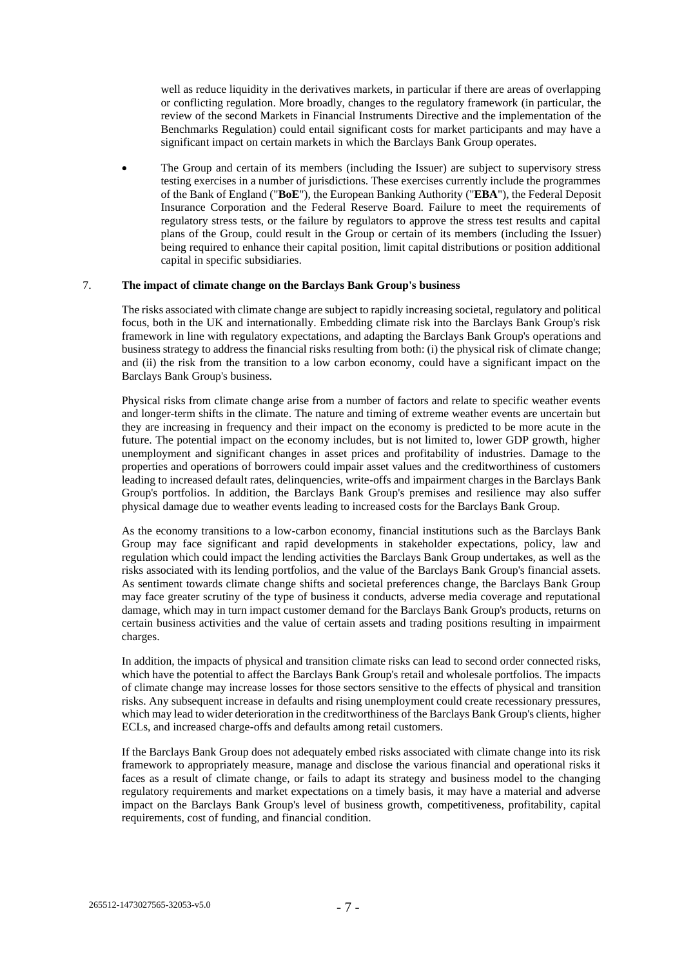well as reduce liquidity in the derivatives markets, in particular if there are areas of overlapping or conflicting regulation. More broadly, changes to the regulatory framework (in particular, the review of the second Markets in Financial Instruments Directive and the implementation of the Benchmarks Regulation) could entail significant costs for market participants and may have a significant impact on certain markets in which the Barclays Bank Group operates.

• The Group and certain of its members (including the Issuer) are subject to supervisory stress testing exercises in a number of jurisdictions. These exercises currently include the programmes of the Bank of England ("**BoE**"), the European Banking Authority ("**EBA**"), the Federal Deposit Insurance Corporation and the Federal Reserve Board. Failure to meet the requirements of regulatory stress tests, or the failure by regulators to approve the stress test results and capital plans of the Group, could result in the Group or certain of its members (including the Issuer) being required to enhance their capital position, limit capital distributions or position additional capital in specific subsidiaries.

## 7. **The impact of climate change on the Barclays Bank Group's business**

The risks associated with climate change are subject to rapidly increasing societal, regulatory and political focus, both in the UK and internationally. Embedding climate risk into the Barclays Bank Group's risk framework in line with regulatory expectations, and adapting the Barclays Bank Group's operations and business strategy to address the financial risks resulting from both: (i) the physical risk of climate change; and (ii) the risk from the transition to a low carbon economy, could have a significant impact on the Barclays Bank Group's business.

Physical risks from climate change arise from a number of factors and relate to specific weather events and longer-term shifts in the climate. The nature and timing of extreme weather events are uncertain but they are increasing in frequency and their impact on the economy is predicted to be more acute in the future. The potential impact on the economy includes, but is not limited to, lower GDP growth, higher unemployment and significant changes in asset prices and profitability of industries. Damage to the properties and operations of borrowers could impair asset values and the creditworthiness of customers leading to increased default rates, delinquencies, write-offs and impairment charges in the Barclays Bank Group's portfolios. In addition, the Barclays Bank Group's premises and resilience may also suffer physical damage due to weather events leading to increased costs for the Barclays Bank Group.

As the economy transitions to a low-carbon economy, financial institutions such as the Barclays Bank Group may face significant and rapid developments in stakeholder expectations, policy, law and regulation which could impact the lending activities the Barclays Bank Group undertakes, as well as the risks associated with its lending portfolios, and the value of the Barclays Bank Group's financial assets. As sentiment towards climate change shifts and societal preferences change, the Barclays Bank Group may face greater scrutiny of the type of business it conducts, adverse media coverage and reputational damage, which may in turn impact customer demand for the Barclays Bank Group's products, returns on certain business activities and the value of certain assets and trading positions resulting in impairment charges.

In addition, the impacts of physical and transition climate risks can lead to second order connected risks, which have the potential to affect the Barclays Bank Group's retail and wholesale portfolios. The impacts of climate change may increase losses for those sectors sensitive to the effects of physical and transition risks. Any subsequent increase in defaults and rising unemployment could create recessionary pressures, which may lead to wider deterioration in the creditworthiness of the Barclays Bank Group's clients, higher ECLs, and increased charge-offs and defaults among retail customers.

If the Barclays Bank Group does not adequately embed risks associated with climate change into its risk framework to appropriately measure, manage and disclose the various financial and operational risks it faces as a result of climate change, or fails to adapt its strategy and business model to the changing regulatory requirements and market expectations on a timely basis, it may have a material and adverse impact on the Barclays Bank Group's level of business growth, competitiveness, profitability, capital requirements, cost of funding, and financial condition.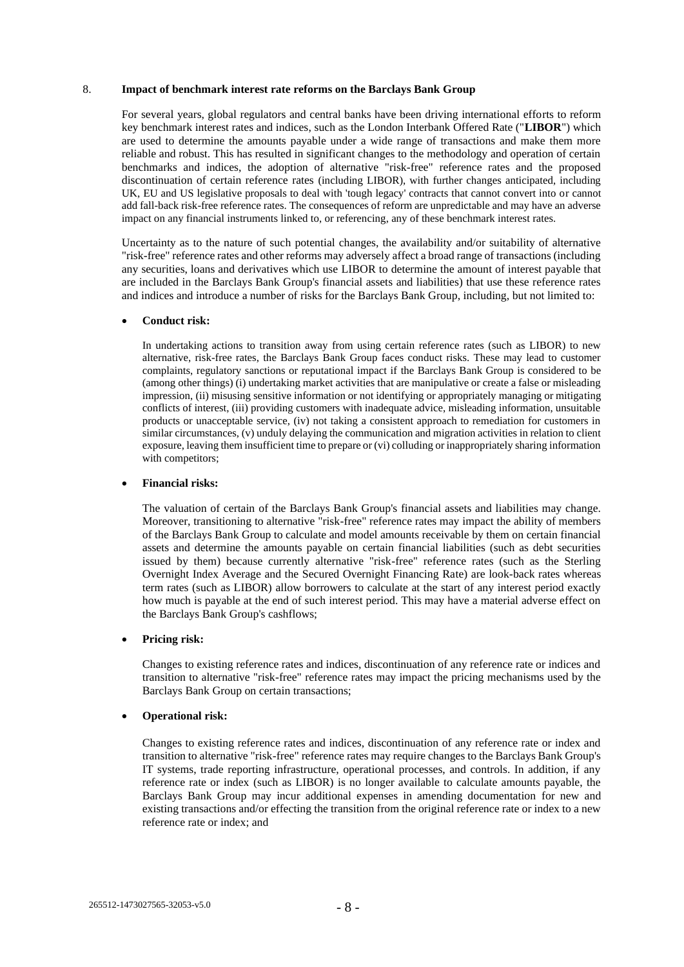### 8. **Impact of benchmark interest rate reforms on the Barclays Bank Group**

For several years, global regulators and central banks have been driving international efforts to reform key benchmark interest rates and indices, such as the London Interbank Offered Rate ("**LIBOR**") which are used to determine the amounts payable under a wide range of transactions and make them more reliable and robust. This has resulted in significant changes to the methodology and operation of certain benchmarks and indices, the adoption of alternative "risk-free" reference rates and the proposed discontinuation of certain reference rates (including LIBOR), with further changes anticipated, including UK, EU and US legislative proposals to deal with 'tough legacy' contracts that cannot convert into or cannot add fall-back risk-free reference rates. The consequences of reform are unpredictable and may have an adverse impact on any financial instruments linked to, or referencing, any of these benchmark interest rates.

Uncertainty as to the nature of such potential changes, the availability and/or suitability of alternative "risk-free" reference rates and other reforms may adversely affect a broad range of transactions (including any securities, loans and derivatives which use LIBOR to determine the amount of interest payable that are included in the Barclays Bank Group's financial assets and liabilities) that use these reference rates and indices and introduce a number of risks for the Barclays Bank Group, including, but not limited to:

### • **Conduct risk:**

In undertaking actions to transition away from using certain reference rates (such as LIBOR) to new alternative, risk-free rates, the Barclays Bank Group faces conduct risks. These may lead to customer complaints, regulatory sanctions or reputational impact if the Barclays Bank Group is considered to be (among other things) (i) undertaking market activities that are manipulative or create a false or misleading impression, (ii) misusing sensitive information or not identifying or appropriately managing or mitigating conflicts of interest, (iii) providing customers with inadequate advice, misleading information, unsuitable products or unacceptable service, (iv) not taking a consistent approach to remediation for customers in similar circumstances, (v) unduly delaying the communication and migration activities in relation to client exposure, leaving them insufficient time to prepare or (vi) colluding or inappropriately sharing information with competitors;

#### • **Financial risks:**

The valuation of certain of the Barclays Bank Group's financial assets and liabilities may change. Moreover, transitioning to alternative "risk-free" reference rates may impact the ability of members of the Barclays Bank Group to calculate and model amounts receivable by them on certain financial assets and determine the amounts payable on certain financial liabilities (such as debt securities issued by them) because currently alternative "risk-free" reference rates (such as the Sterling Overnight Index Average and the Secured Overnight Financing Rate) are look-back rates whereas term rates (such as LIBOR) allow borrowers to calculate at the start of any interest period exactly how much is payable at the end of such interest period. This may have a material adverse effect on the Barclays Bank Group's cashflows;

#### • **Pricing risk:**

Changes to existing reference rates and indices, discontinuation of any reference rate or indices and transition to alternative "risk-free" reference rates may impact the pricing mechanisms used by the Barclays Bank Group on certain transactions;

## • **Operational risk:**

Changes to existing reference rates and indices, discontinuation of any reference rate or index and transition to alternative "risk-free" reference rates may require changes to the Barclays Bank Group's IT systems, trade reporting infrastructure, operational processes, and controls. In addition, if any reference rate or index (such as LIBOR) is no longer available to calculate amounts payable, the Barclays Bank Group may incur additional expenses in amending documentation for new and existing transactions and/or effecting the transition from the original reference rate or index to a new reference rate or index; and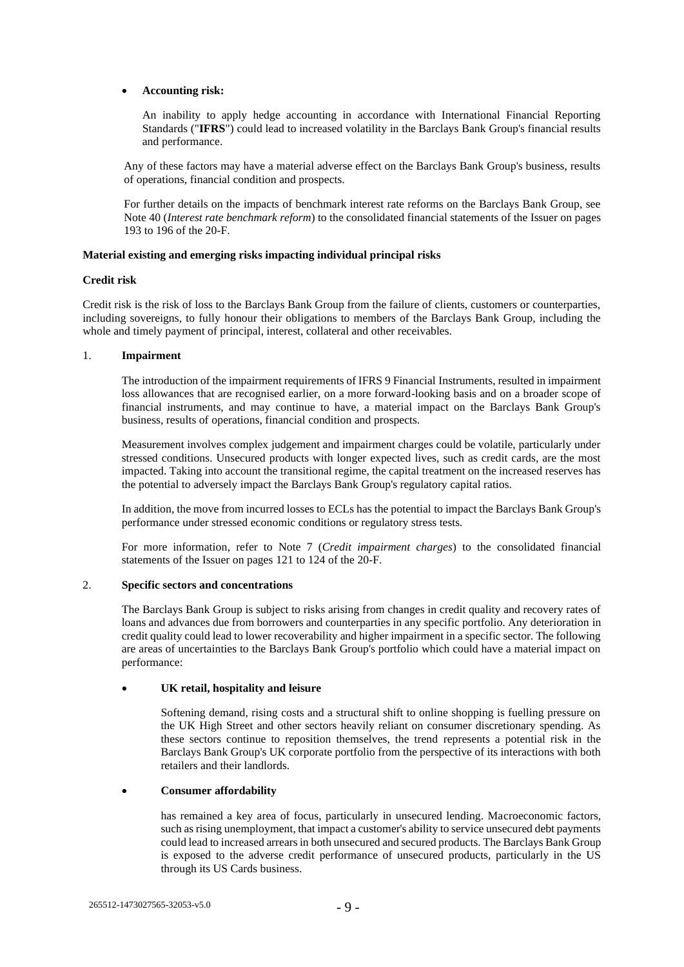## • **Accounting risk:**

An inability to apply hedge accounting in accordance with International Financial Reporting Standards ("**IFRS**") could lead to increased volatility in the Barclays Bank Group's financial results and performance.

Any of these factors may have a material adverse effect on the Barclays Bank Group's business, results of operations, financial condition and prospects.

For further details on the impacts of benchmark interest rate reforms on the Barclays Bank Group, see Note 40 (*Interest rate benchmark reform*) to the consolidated financial statements of the Issuer on pages 193 to 196 of the 20-F.

# **Material existing and emerging risks impacting individual principal risks**

## **Credit risk**

Credit risk is the risk of loss to the Barclays Bank Group from the failure of clients, customers or counterparties, including sovereigns, to fully honour their obligations to members of the Barclays Bank Group, including the whole and timely payment of principal, interest, collateral and other receivables.

## 1. **Impairment**

The introduction of the impairment requirements of IFRS 9 Financial Instruments, resulted in impairment loss allowances that are recognised earlier, on a more forward-looking basis and on a broader scope of financial instruments, and may continue to have, a material impact on the Barclays Bank Group's business, results of operations, financial condition and prospects.

Measurement involves complex judgement and impairment charges could be volatile, particularly under stressed conditions. Unsecured products with longer expected lives, such as credit cards, are the most impacted. Taking into account the transitional regime, the capital treatment on the increased reserves has the potential to adversely impact the Barclays Bank Group's regulatory capital ratios.

In addition, the move from incurred losses to ECLs has the potential to impact the Barclays Bank Group's performance under stressed economic conditions or regulatory stress tests.

For more information, refer to Note 7 (*Credit impairment charges*) to the consolidated financial statements of the Issuer on pages 121 to 124 of the 20-F.

# 2. **Specific sectors and concentrations**

The Barclays Bank Group is subject to risks arising from changes in credit quality and recovery rates of loans and advances due from borrowers and counterparties in any specific portfolio. Any deterioration in credit quality could lead to lower recoverability and higher impairment in a specific sector. The following are areas of uncertainties to the Barclays Bank Group's portfolio which could have a material impact on performance:

## • **UK retail, hospitality and leisure**

Softening demand, rising costs and a structural shift to online shopping is fuelling pressure on the UK High Street and other sectors heavily reliant on consumer discretionary spending. As these sectors continue to reposition themselves, the trend represents a potential risk in the Barclays Bank Group's UK corporate portfolio from the perspective of its interactions with both retailers and their landlords.

## • **Consumer affordability**

has remained a key area of focus, particularly in unsecured lending. Macroeconomic factors, such as rising unemployment, that impact a customer's ability to service unsecured debt payments could lead to increased arrears in both unsecured and secured products. The Barclays Bank Group is exposed to the adverse credit performance of unsecured products, particularly in the US through its US Cards business.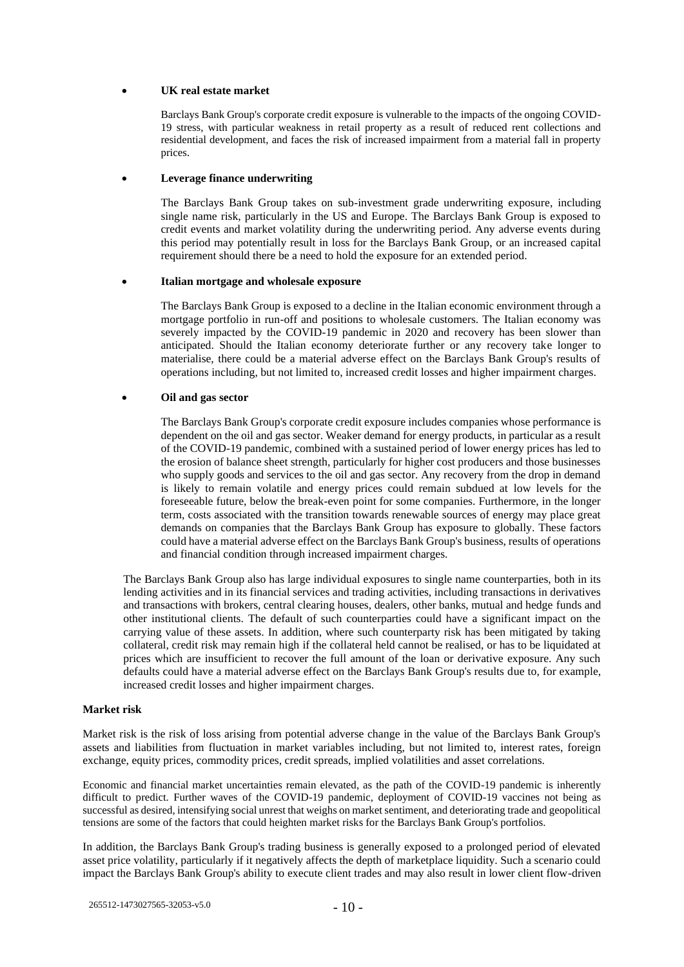## • **UK real estate market**

Barclays Bank Group's corporate credit exposure is vulnerable to the impacts of the ongoing COVID-19 stress, with particular weakness in retail property as a result of reduced rent collections and residential development, and faces the risk of increased impairment from a material fall in property prices.

#### • **Leverage finance underwriting**

The Barclays Bank Group takes on sub-investment grade underwriting exposure, including single name risk, particularly in the US and Europe. The Barclays Bank Group is exposed to credit events and market volatility during the underwriting period. Any adverse events during this period may potentially result in loss for the Barclays Bank Group, or an increased capital requirement should there be a need to hold the exposure for an extended period.

#### • **Italian mortgage and wholesale exposure**

The Barclays Bank Group is exposed to a decline in the Italian economic environment through a mortgage portfolio in run-off and positions to wholesale customers. The Italian economy was severely impacted by the COVID-19 pandemic in 2020 and recovery has been slower than anticipated. Should the Italian economy deteriorate further or any recovery take longer to materialise, there could be a material adverse effect on the Barclays Bank Group's results of operations including, but not limited to, increased credit losses and higher impairment charges.

## • **Oil and gas sector**

The Barclays Bank Group's corporate credit exposure includes companies whose performance is dependent on the oil and gas sector. Weaker demand for energy products, in particular as a result of the COVID-19 pandemic, combined with a sustained period of lower energy prices has led to the erosion of balance sheet strength, particularly for higher cost producers and those businesses who supply goods and services to the oil and gas sector. Any recovery from the drop in demand is likely to remain volatile and energy prices could remain subdued at low levels for the foreseeable future, below the break-even point for some companies. Furthermore, in the longer term, costs associated with the transition towards renewable sources of energy may place great demands on companies that the Barclays Bank Group has exposure to globally. These factors could have a material adverse effect on the Barclays Bank Group's business, results of operations and financial condition through increased impairment charges.

The Barclays Bank Group also has large individual exposures to single name counterparties, both in its lending activities and in its financial services and trading activities, including transactions in derivatives and transactions with brokers, central clearing houses, dealers, other banks, mutual and hedge funds and other institutional clients. The default of such counterparties could have a significant impact on the carrying value of these assets. In addition, where such counterparty risk has been mitigated by taking collateral, credit risk may remain high if the collateral held cannot be realised, or has to be liquidated at prices which are insufficient to recover the full amount of the loan or derivative exposure. Any such defaults could have a material adverse effect on the Barclays Bank Group's results due to, for example, increased credit losses and higher impairment charges.

#### **Market risk**

Market risk is the risk of loss arising from potential adverse change in the value of the Barclays Bank Group's assets and liabilities from fluctuation in market variables including, but not limited to, interest rates, foreign exchange, equity prices, commodity prices, credit spreads, implied volatilities and asset correlations.

Economic and financial market uncertainties remain elevated, as the path of the COVID-19 pandemic is inherently difficult to predict. Further waves of the COVID-19 pandemic, deployment of COVID-19 vaccines not being as successful as desired, intensifying social unrest that weighs on market sentiment, and deteriorating trade and geopolitical tensions are some of the factors that could heighten market risks for the Barclays Bank Group's portfolios.

In addition, the Barclays Bank Group's trading business is generally exposed to a prolonged period of elevated asset price volatility, particularly if it negatively affects the depth of marketplace liquidity. Such a scenario could impact the Barclays Bank Group's ability to execute client trades and may also result in lower client flow-driven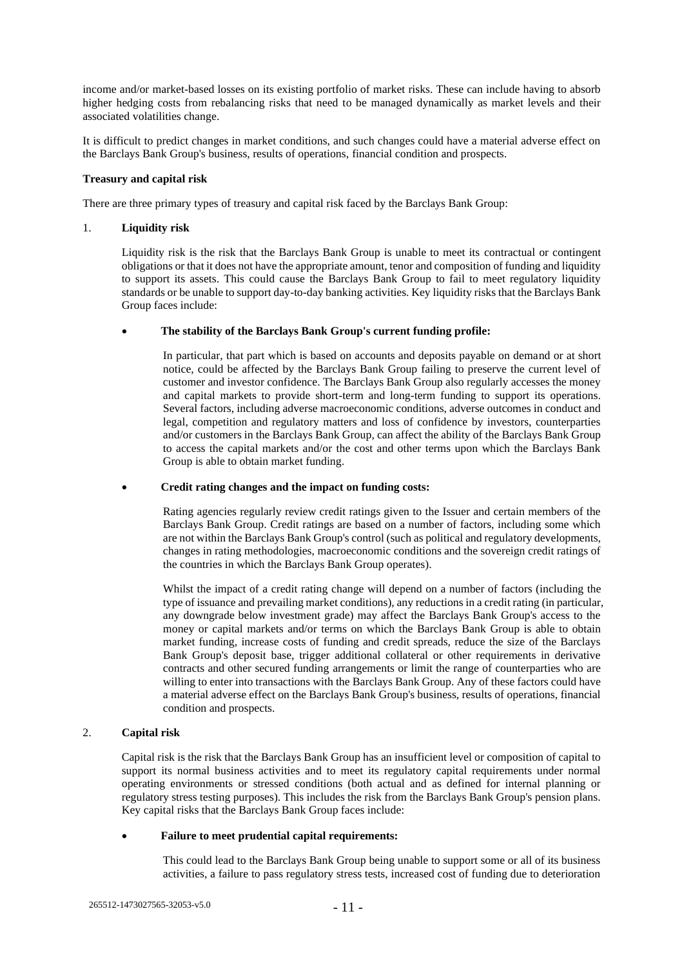income and/or market-based losses on its existing portfolio of market risks. These can include having to absorb higher hedging costs from rebalancing risks that need to be managed dynamically as market levels and their associated volatilities change.

It is difficult to predict changes in market conditions, and such changes could have a material adverse effect on the Barclays Bank Group's business, results of operations, financial condition and prospects.

### **Treasury and capital risk**

There are three primary types of treasury and capital risk faced by the Barclays Bank Group:

#### 1. **Liquidity risk**

Liquidity risk is the risk that the Barclays Bank Group is unable to meet its contractual or contingent obligations or that it does not have the appropriate amount, tenor and composition of funding and liquidity to support its assets. This could cause the Barclays Bank Group to fail to meet regulatory liquidity standards or be unable to support day-to-day banking activities. Key liquidity risks that the Barclays Bank Group faces include:

#### • **The stability of the Barclays Bank Group's current funding profile:**

In particular, that part which is based on accounts and deposits payable on demand or at short notice, could be affected by the Barclays Bank Group failing to preserve the current level of customer and investor confidence. The Barclays Bank Group also regularly accesses the money and capital markets to provide short-term and long-term funding to support its operations. Several factors, including adverse macroeconomic conditions, adverse outcomes in conduct and legal, competition and regulatory matters and loss of confidence by investors, counterparties and/or customers in the Barclays Bank Group, can affect the ability of the Barclays Bank Group to access the capital markets and/or the cost and other terms upon which the Barclays Bank Group is able to obtain market funding.

#### • **Credit rating changes and the impact on funding costs:**

Rating agencies regularly review credit ratings given to the Issuer and certain members of the Barclays Bank Group. Credit ratings are based on a number of factors, including some which are not within the Barclays Bank Group's control (such as political and regulatory developments, changes in rating methodologies, macroeconomic conditions and the sovereign credit ratings of the countries in which the Barclays Bank Group operates).

Whilst the impact of a credit rating change will depend on a number of factors (including the type of issuance and prevailing market conditions), any reductions in a credit rating (in particular, any downgrade below investment grade) may affect the Barclays Bank Group's access to the money or capital markets and/or terms on which the Barclays Bank Group is able to obtain market funding, increase costs of funding and credit spreads, reduce the size of the Barclays Bank Group's deposit base, trigger additional collateral or other requirements in derivative contracts and other secured funding arrangements or limit the range of counterparties who are willing to enter into transactions with the Barclays Bank Group. Any of these factors could have a material adverse effect on the Barclays Bank Group's business, results of operations, financial condition and prospects.

## 2. **Capital risk**

Capital risk is the risk that the Barclays Bank Group has an insufficient level or composition of capital to support its normal business activities and to meet its regulatory capital requirements under normal operating environments or stressed conditions (both actual and as defined for internal planning or regulatory stress testing purposes). This includes the risk from the Barclays Bank Group's pension plans. Key capital risks that the Barclays Bank Group faces include:

## • **Failure to meet prudential capital requirements:**

This could lead to the Barclays Bank Group being unable to support some or all of its business activities, a failure to pass regulatory stress tests, increased cost of funding due to deterioration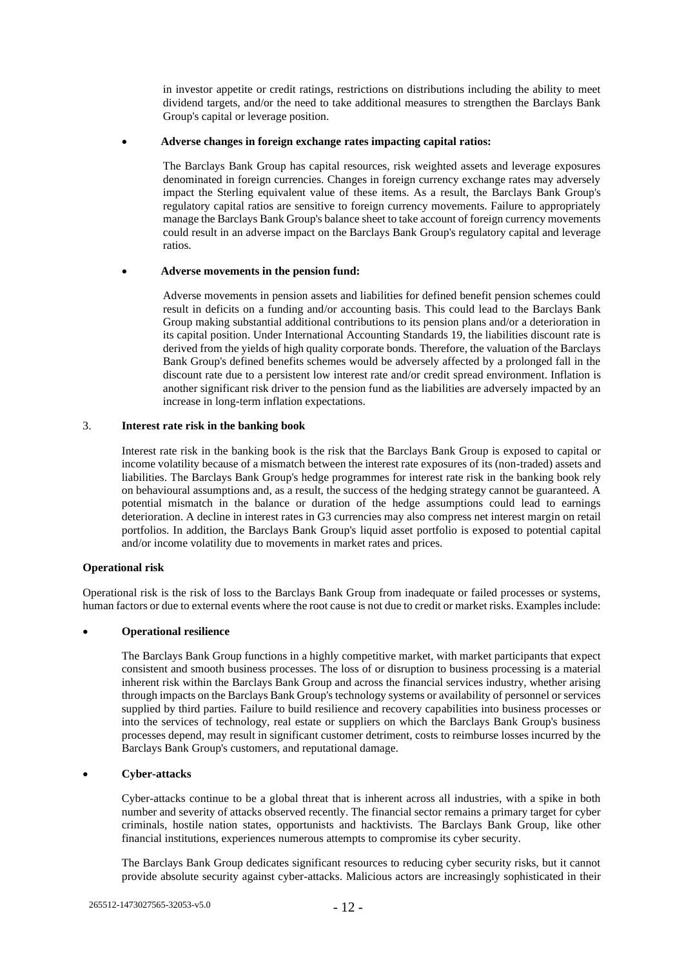in investor appetite or credit ratings, restrictions on distributions including the ability to meet dividend targets, and/or the need to take additional measures to strengthen the Barclays Bank Group's capital or leverage position.

#### • **Adverse changes in foreign exchange rates impacting capital ratios:**

The Barclays Bank Group has capital resources, risk weighted assets and leverage exposures denominated in foreign currencies. Changes in foreign currency exchange rates may adversely impact the Sterling equivalent value of these items. As a result, the Barclays Bank Group's regulatory capital ratios are sensitive to foreign currency movements. Failure to appropriately manage the Barclays Bank Group's balance sheet to take account of foreign currency movements could result in an adverse impact on the Barclays Bank Group's regulatory capital and leverage ratios.

#### • **Adverse movements in the pension fund:**

Adverse movements in pension assets and liabilities for defined benefit pension schemes could result in deficits on a funding and/or accounting basis. This could lead to the Barclays Bank Group making substantial additional contributions to its pension plans and/or a deterioration in its capital position. Under International Accounting Standards 19, the liabilities discount rate is derived from the yields of high quality corporate bonds. Therefore, the valuation of the Barclays Bank Group's defined benefits schemes would be adversely affected by a prolonged fall in the discount rate due to a persistent low interest rate and/or credit spread environment. Inflation is another significant risk driver to the pension fund as the liabilities are adversely impacted by an increase in long-term inflation expectations.

## 3. **Interest rate risk in the banking book**

Interest rate risk in the banking book is the risk that the Barclays Bank Group is exposed to capital or income volatility because of a mismatch between the interest rate exposures of its (non-traded) assets and liabilities. The Barclays Bank Group's hedge programmes for interest rate risk in the banking book rely on behavioural assumptions and, as a result, the success of the hedging strategy cannot be guaranteed. A potential mismatch in the balance or duration of the hedge assumptions could lead to earnings deterioration. A decline in interest rates in G3 currencies may also compress net interest margin on retail portfolios. In addition, the Barclays Bank Group's liquid asset portfolio is exposed to potential capital and/or income volatility due to movements in market rates and prices.

## **Operational risk**

Operational risk is the risk of loss to the Barclays Bank Group from inadequate or failed processes or systems, human factors or due to external events where the root cause is not due to credit or market risks. Examples include:

## • **Operational resilience**

The Barclays Bank Group functions in a highly competitive market, with market participants that expect consistent and smooth business processes. The loss of or disruption to business processing is a material inherent risk within the Barclays Bank Group and across the financial services industry, whether arising through impacts on the Barclays Bank Group's technology systems or availability of personnel or services supplied by third parties. Failure to build resilience and recovery capabilities into business processes or into the services of technology, real estate or suppliers on which the Barclays Bank Group's business processes depend, may result in significant customer detriment, costs to reimburse losses incurred by the Barclays Bank Group's customers, and reputational damage.

## • **Cyber-attacks**

Cyber-attacks continue to be a global threat that is inherent across all industries, with a spike in both number and severity of attacks observed recently. The financial sector remains a primary target for cyber criminals, hostile nation states, opportunists and hacktivists. The Barclays Bank Group, like other financial institutions, experiences numerous attempts to compromise its cyber security.

The Barclays Bank Group dedicates significant resources to reducing cyber security risks, but it cannot provide absolute security against cyber-attacks. Malicious actors are increasingly sophisticated in their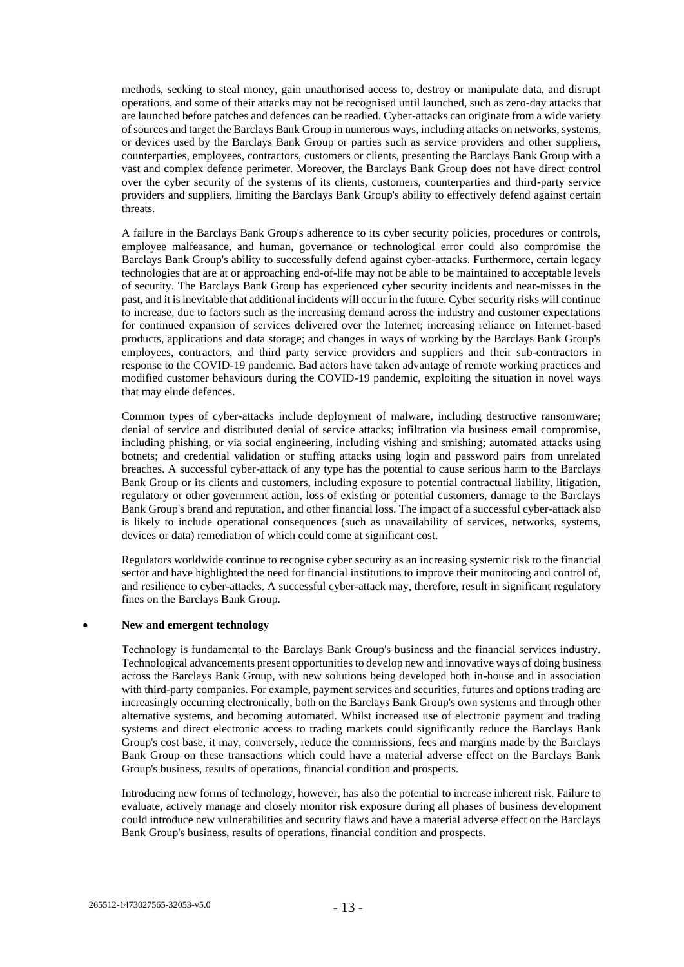methods, seeking to steal money, gain unauthorised access to, destroy or manipulate data, and disrupt operations, and some of their attacks may not be recognised until launched, such as zero-day attacks that are launched before patches and defences can be readied. Cyber-attacks can originate from a wide variety of sources and target the Barclays Bank Group in numerous ways, including attacks on networks, systems, or devices used by the Barclays Bank Group or parties such as service providers and other suppliers, counterparties, employees, contractors, customers or clients, presenting the Barclays Bank Group with a vast and complex defence perimeter. Moreover, the Barclays Bank Group does not have direct control over the cyber security of the systems of its clients, customers, counterparties and third-party service providers and suppliers, limiting the Barclays Bank Group's ability to effectively defend against certain threats.

A failure in the Barclays Bank Group's adherence to its cyber security policies, procedures or controls, employee malfeasance, and human, governance or technological error could also compromise the Barclays Bank Group's ability to successfully defend against cyber-attacks. Furthermore, certain legacy technologies that are at or approaching end-of-life may not be able to be maintained to acceptable levels of security. The Barclays Bank Group has experienced cyber security incidents and near-misses in the past, and it is inevitable that additional incidents will occur in the future. Cyber security risks will continue to increase, due to factors such as the increasing demand across the industry and customer expectations for continued expansion of services delivered over the Internet; increasing reliance on Internet-based products, applications and data storage; and changes in ways of working by the Barclays Bank Group's employees, contractors, and third party service providers and suppliers and their sub-contractors in response to the COVID-19 pandemic. Bad actors have taken advantage of remote working practices and modified customer behaviours during the COVID-19 pandemic, exploiting the situation in novel ways that may elude defences.

Common types of cyber-attacks include deployment of malware, including destructive ransomware; denial of service and distributed denial of service attacks; infiltration via business email compromise, including phishing, or via social engineering, including vishing and smishing; automated attacks using botnets; and credential validation or stuffing attacks using login and password pairs from unrelated breaches. A successful cyber-attack of any type has the potential to cause serious harm to the Barclays Bank Group or its clients and customers, including exposure to potential contractual liability, litigation, regulatory or other government action, loss of existing or potential customers, damage to the Barclays Bank Group's brand and reputation, and other financial loss. The impact of a successful cyber-attack also is likely to include operational consequences (such as unavailability of services, networks, systems, devices or data) remediation of which could come at significant cost.

Regulators worldwide continue to recognise cyber security as an increasing systemic risk to the financial sector and have highlighted the need for financial institutions to improve their monitoring and control of, and resilience to cyber-attacks. A successful cyber-attack may, therefore, result in significant regulatory fines on the Barclays Bank Group.

#### • **New and emergent technology**

Technology is fundamental to the Barclays Bank Group's business and the financial services industry. Technological advancements present opportunities to develop new and innovative ways of doing business across the Barclays Bank Group, with new solutions being developed both in-house and in association with third-party companies. For example, payment services and securities, futures and options trading are increasingly occurring electronically, both on the Barclays Bank Group's own systems and through other alternative systems, and becoming automated. Whilst increased use of electronic payment and trading systems and direct electronic access to trading markets could significantly reduce the Barclays Bank Group's cost base, it may, conversely, reduce the commissions, fees and margins made by the Barclays Bank Group on these transactions which could have a material adverse effect on the Barclays Bank Group's business, results of operations, financial condition and prospects.

Introducing new forms of technology, however, has also the potential to increase inherent risk. Failure to evaluate, actively manage and closely monitor risk exposure during all phases of business development could introduce new vulnerabilities and security flaws and have a material adverse effect on the Barclays Bank Group's business, results of operations, financial condition and prospects.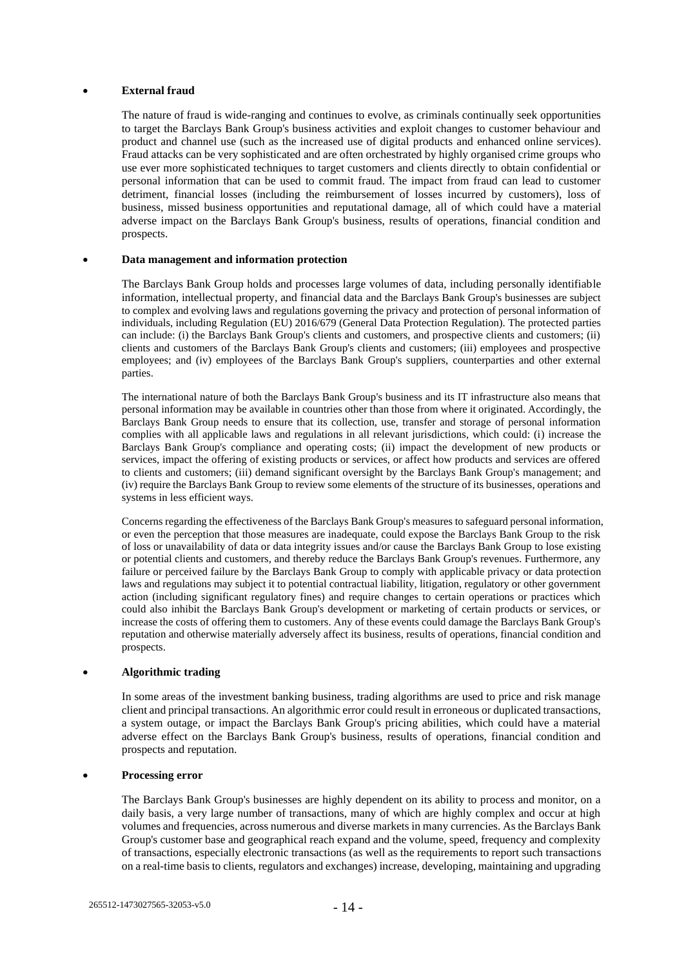### • **External fraud**

The nature of fraud is wide-ranging and continues to evolve, as criminals continually seek opportunities to target the Barclays Bank Group's business activities and exploit changes to customer behaviour and product and channel use (such as the increased use of digital products and enhanced online services). Fraud attacks can be very sophisticated and are often orchestrated by highly organised crime groups who use ever more sophisticated techniques to target customers and clients directly to obtain confidential or personal information that can be used to commit fraud. The impact from fraud can lead to customer detriment, financial losses (including the reimbursement of losses incurred by customers), loss of business, missed business opportunities and reputational damage, all of which could have a material adverse impact on the Barclays Bank Group's business, results of operations, financial condition and prospects.

#### • **Data management and information protection**

The Barclays Bank Group holds and processes large volumes of data, including personally identifiable information, intellectual property, and financial data and the Barclays Bank Group's businesses are subject to complex and evolving laws and regulations governing the privacy and protection of personal information of individuals, including Regulation (EU) 2016/679 (General Data Protection Regulation). The protected parties can include: (i) the Barclays Bank Group's clients and customers, and prospective clients and customers; (ii) clients and customers of the Barclays Bank Group's clients and customers; (iii) employees and prospective employees; and (iv) employees of the Barclays Bank Group's suppliers, counterparties and other external parties.

The international nature of both the Barclays Bank Group's business and its IT infrastructure also means that personal information may be available in countries other than those from where it originated. Accordingly, the Barclays Bank Group needs to ensure that its collection, use, transfer and storage of personal information complies with all applicable laws and regulations in all relevant jurisdictions, which could: (i) increase the Barclays Bank Group's compliance and operating costs; (ii) impact the development of new products or services, impact the offering of existing products or services, or affect how products and services are offered to clients and customers; (iii) demand significant oversight by the Barclays Bank Group's management; and (iv) require the Barclays Bank Group to review some elements of the structure of its businesses, operations and systems in less efficient ways.

Concerns regarding the effectiveness of the Barclays Bank Group's measures to safeguard personal information, or even the perception that those measures are inadequate, could expose the Barclays Bank Group to the risk of loss or unavailability of data or data integrity issues and/or cause the Barclays Bank Group to lose existing or potential clients and customers, and thereby reduce the Barclays Bank Group's revenues. Furthermore, any failure or perceived failure by the Barclays Bank Group to comply with applicable privacy or data protection laws and regulations may subject it to potential contractual liability, litigation, regulatory or other government action (including significant regulatory fines) and require changes to certain operations or practices which could also inhibit the Barclays Bank Group's development or marketing of certain products or services, or increase the costs of offering them to customers. Any of these events could damage the Barclays Bank Group's reputation and otherwise materially adversely affect its business, results of operations, financial condition and prospects.

### • **Algorithmic trading**

In some areas of the investment banking business, trading algorithms are used to price and risk manage client and principal transactions. An algorithmic error could result in erroneous or duplicated transactions, a system outage, or impact the Barclays Bank Group's pricing abilities, which could have a material adverse effect on the Barclays Bank Group's business, results of operations, financial condition and prospects and reputation.

### • **Processing error**

The Barclays Bank Group's businesses are highly dependent on its ability to process and monitor, on a daily basis, a very large number of transactions, many of which are highly complex and occur at high volumes and frequencies, across numerous and diverse markets in many currencies. As the Barclays Bank Group's customer base and geographical reach expand and the volume, speed, frequency and complexity of transactions, especially electronic transactions (as well as the requirements to report such transactions on a real-time basis to clients, regulators and exchanges) increase, developing, maintaining and upgrading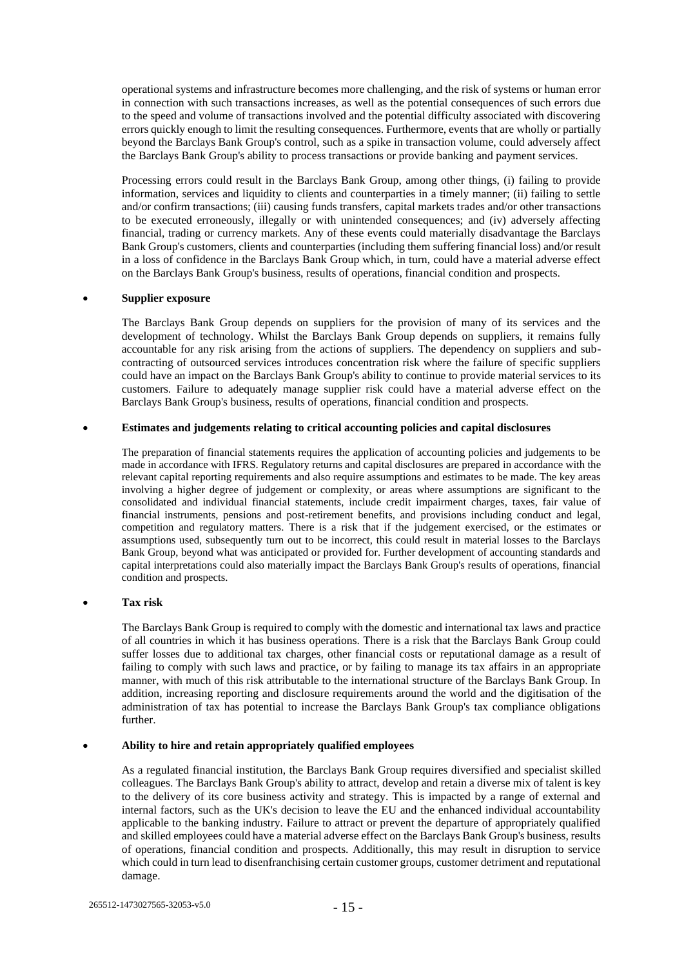operational systems and infrastructure becomes more challenging, and the risk of systems or human error in connection with such transactions increases, as well as the potential consequences of such errors due to the speed and volume of transactions involved and the potential difficulty associated with discovering errors quickly enough to limit the resulting consequences. Furthermore, events that are wholly or partially beyond the Barclays Bank Group's control, such as a spike in transaction volume, could adversely affect the Barclays Bank Group's ability to process transactions or provide banking and payment services.

Processing errors could result in the Barclays Bank Group, among other things, (i) failing to provide information, services and liquidity to clients and counterparties in a timely manner; (ii) failing to settle and/or confirm transactions; (iii) causing funds transfers, capital markets trades and/or other transactions to be executed erroneously, illegally or with unintended consequences; and (iv) adversely affecting financial, trading or currency markets. Any of these events could materially disadvantage the Barclays Bank Group's customers, clients and counterparties (including them suffering financial loss) and/or result in a loss of confidence in the Barclays Bank Group which, in turn, could have a material adverse effect on the Barclays Bank Group's business, results of operations, financial condition and prospects.

#### • **Supplier exposure**

The Barclays Bank Group depends on suppliers for the provision of many of its services and the development of technology. Whilst the Barclays Bank Group depends on suppliers, it remains fully accountable for any risk arising from the actions of suppliers. The dependency on suppliers and subcontracting of outsourced services introduces concentration risk where the failure of specific suppliers could have an impact on the Barclays Bank Group's ability to continue to provide material services to its customers. Failure to adequately manage supplier risk could have a material adverse effect on the Barclays Bank Group's business, results of operations, financial condition and prospects.

#### • **Estimates and judgements relating to critical accounting policies and capital disclosures**

The preparation of financial statements requires the application of accounting policies and judgements to be made in accordance with IFRS. Regulatory returns and capital disclosures are prepared in accordance with the relevant capital reporting requirements and also require assumptions and estimates to be made. The key areas involving a higher degree of judgement or complexity, or areas where assumptions are significant to the consolidated and individual financial statements, include credit impairment charges, taxes, fair value of financial instruments, pensions and post-retirement benefits, and provisions including conduct and legal, competition and regulatory matters. There is a risk that if the judgement exercised, or the estimates or assumptions used, subsequently turn out to be incorrect, this could result in material losses to the Barclays Bank Group, beyond what was anticipated or provided for. Further development of accounting standards and capital interpretations could also materially impact the Barclays Bank Group's results of operations, financial condition and prospects.

## • **Tax risk**

The Barclays Bank Group is required to comply with the domestic and international tax laws and practice of all countries in which it has business operations. There is a risk that the Barclays Bank Group could suffer losses due to additional tax charges, other financial costs or reputational damage as a result of failing to comply with such laws and practice, or by failing to manage its tax affairs in an appropriate manner, with much of this risk attributable to the international structure of the Barclays Bank Group. In addition, increasing reporting and disclosure requirements around the world and the digitisation of the administration of tax has potential to increase the Barclays Bank Group's tax compliance obligations further.

#### • **Ability to hire and retain appropriately qualified employees**

As a regulated financial institution, the Barclays Bank Group requires diversified and specialist skilled colleagues. The Barclays Bank Group's ability to attract, develop and retain a diverse mix of talent is key to the delivery of its core business activity and strategy. This is impacted by a range of external and internal factors, such as the UK's decision to leave the EU and the enhanced individual accountability applicable to the banking industry. Failure to attract or prevent the departure of appropriately qualified and skilled employees could have a material adverse effect on the Barclays Bank Group's business, results of operations, financial condition and prospects. Additionally, this may result in disruption to service which could in turn lead to disenfranchising certain customer groups, customer detriment and reputational damage.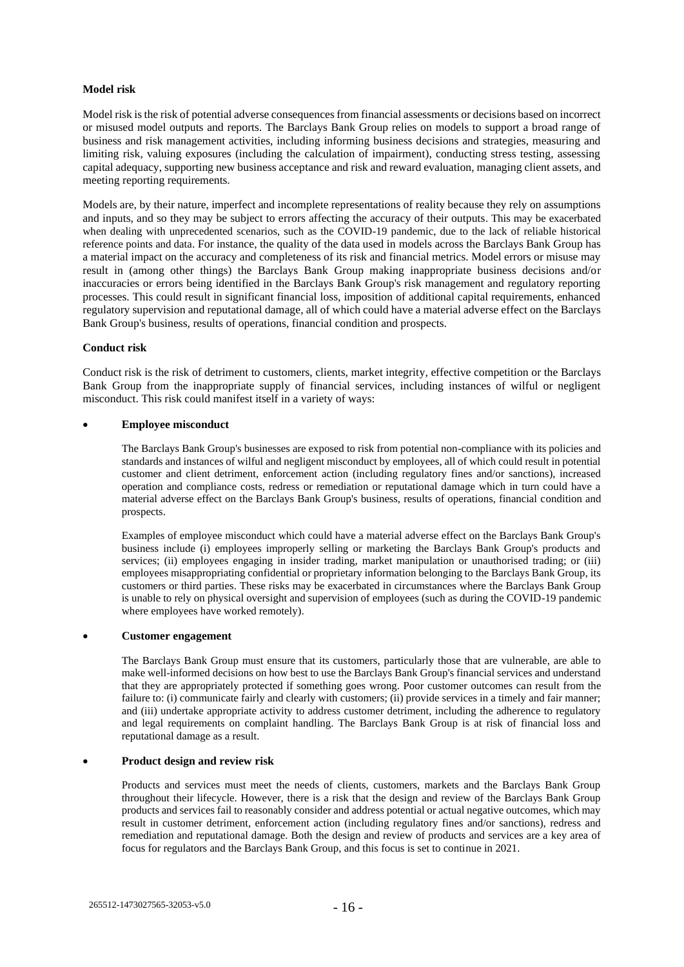## **Model risk**

Model risk is the risk of potential adverse consequences from financial assessments or decisions based on incorrect or misused model outputs and reports. The Barclays Bank Group relies on models to support a broad range of business and risk management activities, including informing business decisions and strategies, measuring and limiting risk, valuing exposures (including the calculation of impairment), conducting stress testing, assessing capital adequacy, supporting new business acceptance and risk and reward evaluation, managing client assets, and meeting reporting requirements.

Models are, by their nature, imperfect and incomplete representations of reality because they rely on assumptions and inputs, and so they may be subject to errors affecting the accuracy of their outputs. This may be exacerbated when dealing with unprecedented scenarios, such as the COVID-19 pandemic, due to the lack of reliable historical reference points and data. For instance, the quality of the data used in models across the Barclays Bank Group has a material impact on the accuracy and completeness of its risk and financial metrics. Model errors or misuse may result in (among other things) the Barclays Bank Group making inappropriate business decisions and/or inaccuracies or errors being identified in the Barclays Bank Group's risk management and regulatory reporting processes. This could result in significant financial loss, imposition of additional capital requirements, enhanced regulatory supervision and reputational damage, all of which could have a material adverse effect on the Barclays Bank Group's business, results of operations, financial condition and prospects.

## **Conduct risk**

Conduct risk is the risk of detriment to customers, clients, market integrity, effective competition or the Barclays Bank Group from the inappropriate supply of financial services, including instances of wilful or negligent misconduct. This risk could manifest itself in a variety of ways:

### • **Employee misconduct**

The Barclays Bank Group's businesses are exposed to risk from potential non-compliance with its policies and standards and instances of wilful and negligent misconduct by employees, all of which could result in potential customer and client detriment, enforcement action (including regulatory fines and/or sanctions), increased operation and compliance costs, redress or remediation or reputational damage which in turn could have a material adverse effect on the Barclays Bank Group's business, results of operations, financial condition and prospects.

Examples of employee misconduct which could have a material adverse effect on the Barclays Bank Group's business include (i) employees improperly selling or marketing the Barclays Bank Group's products and services; (ii) employees engaging in insider trading, market manipulation or unauthorised trading; or (iii) employees misappropriating confidential or proprietary information belonging to the Barclays Bank Group, its customers or third parties. These risks may be exacerbated in circumstances where the Barclays Bank Group is unable to rely on physical oversight and supervision of employees (such as during the COVID-19 pandemic where employees have worked remotely).

## • **Customer engagement**

The Barclays Bank Group must ensure that its customers, particularly those that are vulnerable, are able to make well-informed decisions on how best to use the Barclays Bank Group's financial services and understand that they are appropriately protected if something goes wrong. Poor customer outcomes can result from the failure to: (i) communicate fairly and clearly with customers; (ii) provide services in a timely and fair manner; and (iii) undertake appropriate activity to address customer detriment, including the adherence to regulatory and legal requirements on complaint handling. The Barclays Bank Group is at risk of financial loss and reputational damage as a result.

## • **Product design and review risk**

Products and services must meet the needs of clients, customers, markets and the Barclays Bank Group throughout their lifecycle. However, there is a risk that the design and review of the Barclays Bank Group products and services fail to reasonably consider and address potential or actual negative outcomes, which may result in customer detriment, enforcement action (including regulatory fines and/or sanctions), redress and remediation and reputational damage. Both the design and review of products and services are a key area of focus for regulators and the Barclays Bank Group, and this focus is set to continue in 2021.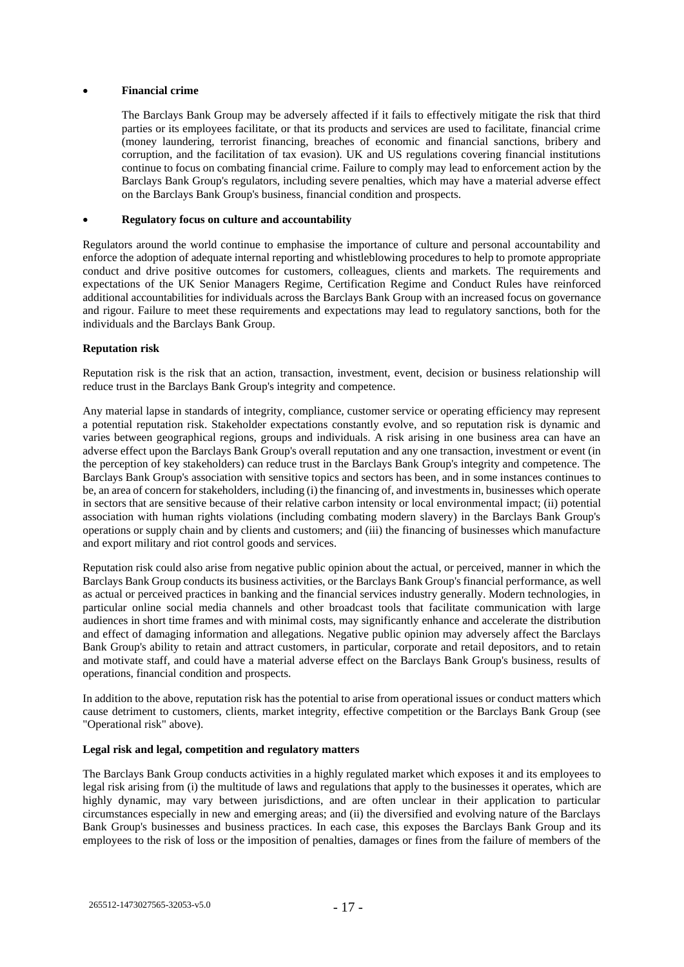### • **Financial crime**

The Barclays Bank Group may be adversely affected if it fails to effectively mitigate the risk that third parties or its employees facilitate, or that its products and services are used to facilitate, financial crime (money laundering, terrorist financing, breaches of economic and financial sanctions, bribery and corruption, and the facilitation of tax evasion). UK and US regulations covering financial institutions continue to focus on combating financial crime. Failure to comply may lead to enforcement action by the Barclays Bank Group's regulators, including severe penalties, which may have a material adverse effect on the Barclays Bank Group's business, financial condition and prospects.

#### • **Regulatory focus on culture and accountability**

Regulators around the world continue to emphasise the importance of culture and personal accountability and enforce the adoption of adequate internal reporting and whistleblowing procedures to help to promote appropriate conduct and drive positive outcomes for customers, colleagues, clients and markets. The requirements and expectations of the UK Senior Managers Regime, Certification Regime and Conduct Rules have reinforced additional accountabilities for individuals across the Barclays Bank Group with an increased focus on governance and rigour. Failure to meet these requirements and expectations may lead to regulatory sanctions, both for the individuals and the Barclays Bank Group.

#### **Reputation risk**

Reputation risk is the risk that an action, transaction, investment, event, decision or business relationship will reduce trust in the Barclays Bank Group's integrity and competence.

Any material lapse in standards of integrity, compliance, customer service or operating efficiency may represent a potential reputation risk. Stakeholder expectations constantly evolve, and so reputation risk is dynamic and varies between geographical regions, groups and individuals. A risk arising in one business area can have an adverse effect upon the Barclays Bank Group's overall reputation and any one transaction, investment or event (in the perception of key stakeholders) can reduce trust in the Barclays Bank Group's integrity and competence. The Barclays Bank Group's association with sensitive topics and sectors has been, and in some instances continues to be, an area of concern for stakeholders, including (i) the financing of, and investments in, businesses which operate in sectors that are sensitive because of their relative carbon intensity or local environmental impact; (ii) potential association with human rights violations (including combating modern slavery) in the Barclays Bank Group's operations or supply chain and by clients and customers; and (iii) the financing of businesses which manufacture and export military and riot control goods and services.

Reputation risk could also arise from negative public opinion about the actual, or perceived, manner in which the Barclays Bank Group conducts its business activities, or the Barclays Bank Group's financial performance, as well as actual or perceived practices in banking and the financial services industry generally. Modern technologies, in particular online social media channels and other broadcast tools that facilitate communication with large audiences in short time frames and with minimal costs, may significantly enhance and accelerate the distribution and effect of damaging information and allegations. Negative public opinion may adversely affect the Barclays Bank Group's ability to retain and attract customers, in particular, corporate and retail depositors, and to retain and motivate staff, and could have a material adverse effect on the Barclays Bank Group's business, results of operations, financial condition and prospects.

In addition to the above, reputation risk has the potential to arise from operational issues or conduct matters which cause detriment to customers, clients, market integrity, effective competition or the Barclays Bank Group (see "Operational risk" above).

#### **Legal risk and legal, competition and regulatory matters**

The Barclays Bank Group conducts activities in a highly regulated market which exposes it and its employees to legal risk arising from (i) the multitude of laws and regulations that apply to the businesses it operates, which are highly dynamic, may vary between jurisdictions, and are often unclear in their application to particular circumstances especially in new and emerging areas; and (ii) the diversified and evolving nature of the Barclays Bank Group's businesses and business practices. In each case, this exposes the Barclays Bank Group and its employees to the risk of loss or the imposition of penalties, damages or fines from the failure of members of the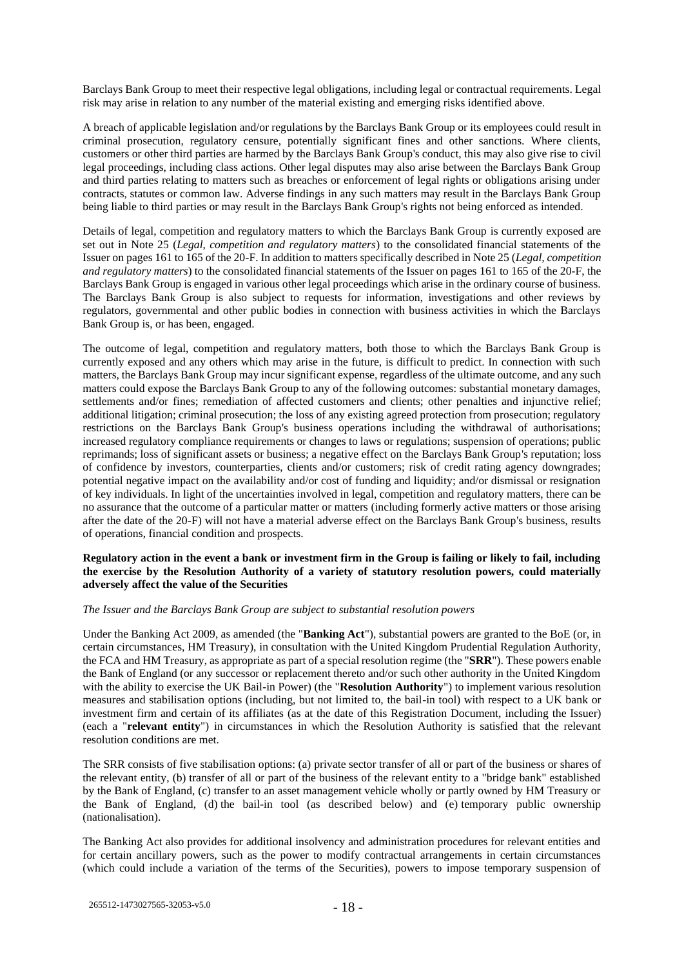Barclays Bank Group to meet their respective legal obligations, including legal or contractual requirements. Legal risk may arise in relation to any number of the material existing and emerging risks identified above.

A breach of applicable legislation and/or regulations by the Barclays Bank Group or its employees could result in criminal prosecution, regulatory censure, potentially significant fines and other sanctions. Where clients, customers or other third parties are harmed by the Barclays Bank Group's conduct, this may also give rise to civil legal proceedings, including class actions. Other legal disputes may also arise between the Barclays Bank Group and third parties relating to matters such as breaches or enforcement of legal rights or obligations arising under contracts, statutes or common law. Adverse findings in any such matters may result in the Barclays Bank Group being liable to third parties or may result in the Barclays Bank Group's rights not being enforced as intended.

Details of legal, competition and regulatory matters to which the Barclays Bank Group is currently exposed are set out in Note 25 (*Legal, competition and regulatory matters*) to the consolidated financial statements of the Issuer on pages 161 to 165 of the 20-F. In addition to matters specifically described in Note 25 (*Legal, competition and regulatory matters*) to the consolidated financial statements of the Issuer on pages 161 to 165 of the 20-F, the Barclays Bank Group is engaged in various other legal proceedings which arise in the ordinary course of business. The Barclays Bank Group is also subject to requests for information, investigations and other reviews by regulators, governmental and other public bodies in connection with business activities in which the Barclays Bank Group is, or has been, engaged.

The outcome of legal, competition and regulatory matters, both those to which the Barclays Bank Group is currently exposed and any others which may arise in the future, is difficult to predict. In connection with such matters, the Barclays Bank Group may incur significant expense, regardless of the ultimate outcome, and any such matters could expose the Barclays Bank Group to any of the following outcomes: substantial monetary damages, settlements and/or fines; remediation of affected customers and clients; other penalties and injunctive relief; additional litigation; criminal prosecution; the loss of any existing agreed protection from prosecution; regulatory restrictions on the Barclays Bank Group's business operations including the withdrawal of authorisations; increased regulatory compliance requirements or changes to laws or regulations; suspension of operations; public reprimands; loss of significant assets or business; a negative effect on the Barclays Bank Group's reputation; loss of confidence by investors, counterparties, clients and/or customers; risk of credit rating agency downgrades; potential negative impact on the availability and/or cost of funding and liquidity; and/or dismissal or resignation of key individuals. In light of the uncertainties involved in legal, competition and regulatory matters, there can be no assurance that the outcome of a particular matter or matters (including formerly active matters or those arising after the date of the 20-F) will not have a material adverse effect on the Barclays Bank Group's business, results of operations, financial condition and prospects.

## **Regulatory action in the event a bank or investment firm in the Group is failing or likely to fail, including the exercise by the Resolution Authority of a variety of statutory resolution powers, could materially adversely affect the value of the Securities**

### *The Issuer and the Barclays Bank Group are subject to substantial resolution powers*

Under the Banking Act 2009, as amended (the "**Banking Act**"), substantial powers are granted to the BoE (or, in certain circumstances, HM Treasury), in consultation with the United Kingdom Prudential Regulation Authority, the FCA and HM Treasury, as appropriate as part of a special resolution regime (the "**SRR**"). These powers enable the Bank of England (or any successor or replacement thereto and/or such other authority in the United Kingdom with the ability to exercise the UK Bail-in Power) (the "**Resolution Authority**") to implement various resolution measures and stabilisation options (including, but not limited to, the bail-in tool) with respect to a UK bank or investment firm and certain of its affiliates (as at the date of this Registration Document, including the Issuer) (each a "**relevant entity**") in circumstances in which the Resolution Authority is satisfied that the relevant resolution conditions are met.

The SRR consists of five stabilisation options: (a) private sector transfer of all or part of the business or shares of the relevant entity, (b) transfer of all or part of the business of the relevant entity to a "bridge bank" established by the Bank of England, (c) transfer to an asset management vehicle wholly or partly owned by HM Treasury or the Bank of England, (d) the bail-in tool (as described below) and (e) temporary public ownership (nationalisation).

The Banking Act also provides for additional insolvency and administration procedures for relevant entities and for certain ancillary powers, such as the power to modify contractual arrangements in certain circumstances (which could include a variation of the terms of the Securities), powers to impose temporary suspension of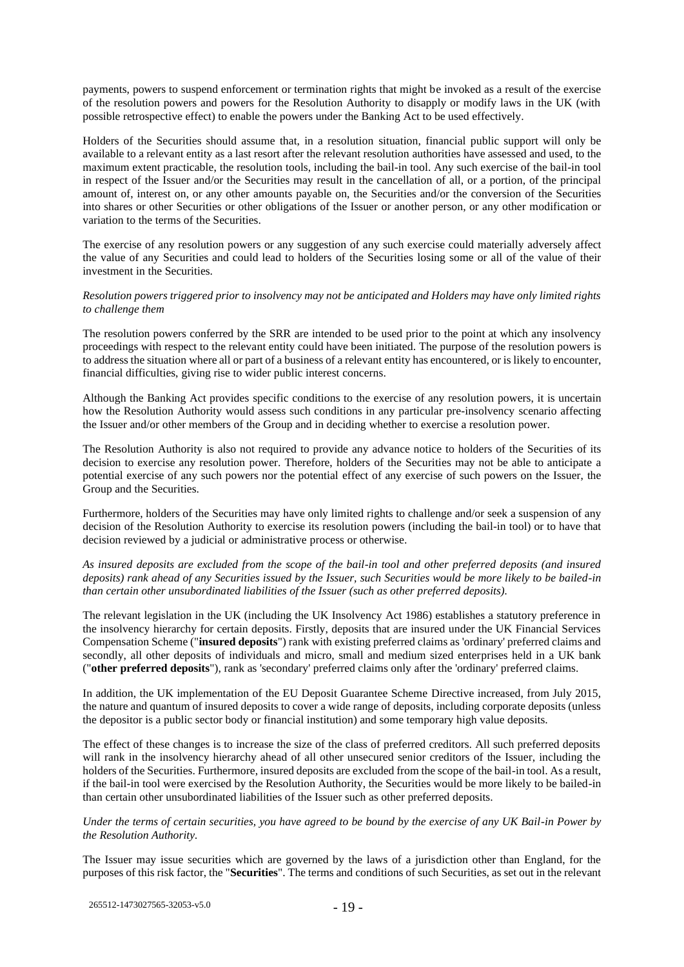payments, powers to suspend enforcement or termination rights that might be invoked as a result of the exercise of the resolution powers and powers for the Resolution Authority to disapply or modify laws in the UK (with possible retrospective effect) to enable the powers under the Banking Act to be used effectively.

Holders of the Securities should assume that, in a resolution situation, financial public support will only be available to a relevant entity as a last resort after the relevant resolution authorities have assessed and used, to the maximum extent practicable, the resolution tools, including the bail-in tool. Any such exercise of the bail-in tool in respect of the Issuer and/or the Securities may result in the cancellation of all, or a portion, of the principal amount of, interest on, or any other amounts payable on, the Securities and/or the conversion of the Securities into shares or other Securities or other obligations of the Issuer or another person, or any other modification or variation to the terms of the Securities.

The exercise of any resolution powers or any suggestion of any such exercise could materially adversely affect the value of any Securities and could lead to holders of the Securities losing some or all of the value of their investment in the Securities.

#### *Resolution powers triggered prior to insolvency may not be anticipated and Holders may have only limited rights to challenge them*

The resolution powers conferred by the SRR are intended to be used prior to the point at which any insolvency proceedings with respect to the relevant entity could have been initiated. The purpose of the resolution powers is to address the situation where all or part of a business of a relevant entity has encountered, or is likely to encounter, financial difficulties, giving rise to wider public interest concerns.

Although the Banking Act provides specific conditions to the exercise of any resolution powers, it is uncertain how the Resolution Authority would assess such conditions in any particular pre-insolvency scenario affecting the Issuer and/or other members of the Group and in deciding whether to exercise a resolution power.

The Resolution Authority is also not required to provide any advance notice to holders of the Securities of its decision to exercise any resolution power. Therefore, holders of the Securities may not be able to anticipate a potential exercise of any such powers nor the potential effect of any exercise of such powers on the Issuer, the Group and the Securities.

Furthermore, holders of the Securities may have only limited rights to challenge and/or seek a suspension of any decision of the Resolution Authority to exercise its resolution powers (including the bail-in tool) or to have that decision reviewed by a judicial or administrative process or otherwise.

## *As insured deposits are excluded from the scope of the bail-in tool and other preferred deposits (and insured deposits) rank ahead of any Securities issued by the Issuer, such Securities would be more likely to be bailed-in than certain other unsubordinated liabilities of the Issuer (such as other preferred deposits).*

The relevant legislation in the UK (including the UK Insolvency Act 1986) establishes a statutory preference in the insolvency hierarchy for certain deposits. Firstly, deposits that are insured under the UK Financial Services Compensation Scheme ("**insured deposits**") rank with existing preferred claims as 'ordinary' preferred claims and secondly, all other deposits of individuals and micro, small and medium sized enterprises held in a UK bank ("**other preferred deposits**"), rank as 'secondary' preferred claims only after the 'ordinary' preferred claims.

In addition, the UK implementation of the EU Deposit Guarantee Scheme Directive increased, from July 2015, the nature and quantum of insured deposits to cover a wide range of deposits, including corporate deposits (unless the depositor is a public sector body or financial institution) and some temporary high value deposits.

The effect of these changes is to increase the size of the class of preferred creditors. All such preferred deposits will rank in the insolvency hierarchy ahead of all other unsecured senior creditors of the Issuer, including the holders of the Securities. Furthermore, insured deposits are excluded from the scope of the bail-in tool. As a result, if the bail-in tool were exercised by the Resolution Authority, the Securities would be more likely to be bailed-in than certain other unsubordinated liabilities of the Issuer such as other preferred deposits.

### *Under the terms of certain securities, you have agreed to be bound by the exercise of any UK Bail-in Power by the Resolution Authority.*

The Issuer may issue securities which are governed by the laws of a jurisdiction other than England, for the purposes of this risk factor, the "**Securities**". The terms and conditions of such Securities, as set out in the relevant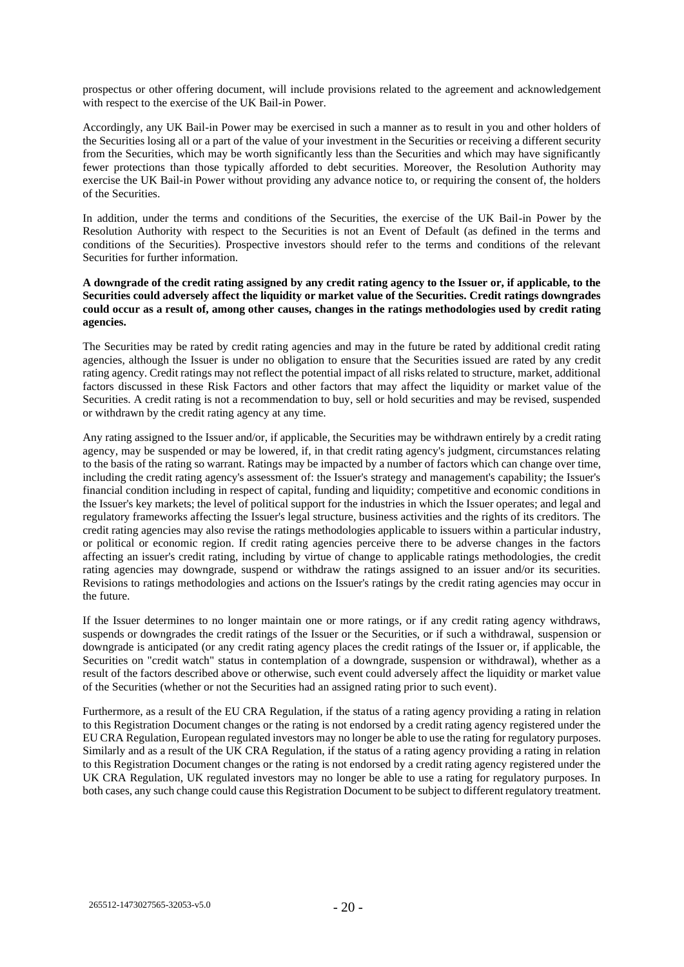prospectus or other offering document, will include provisions related to the agreement and acknowledgement with respect to the exercise of the UK Bail-in Power.

Accordingly, any UK Bail-in Power may be exercised in such a manner as to result in you and other holders of the Securities losing all or a part of the value of your investment in the Securities or receiving a different security from the Securities, which may be worth significantly less than the Securities and which may have significantly fewer protections than those typically afforded to debt securities. Moreover, the Resolution Authority may exercise the UK Bail-in Power without providing any advance notice to, or requiring the consent of, the holders of the Securities.

In addition, under the terms and conditions of the Securities, the exercise of the UK Bail-in Power by the Resolution Authority with respect to the Securities is not an Event of Default (as defined in the terms and conditions of the Securities). Prospective investors should refer to the terms and conditions of the relevant Securities for further information.

### **A downgrade of the credit rating assigned by any credit rating agency to the Issuer or, if applicable, to the Securities could adversely affect the liquidity or market value of the Securities. Credit ratings downgrades could occur as a result of, among other causes, changes in the ratings methodologies used by credit rating agencies.**

The Securities may be rated by credit rating agencies and may in the future be rated by additional credit rating agencies, although the Issuer is under no obligation to ensure that the Securities issued are rated by any credit rating agency. Credit ratings may not reflect the potential impact of all risks related to structure, market, additional factors discussed in these Risk Factors and other factors that may affect the liquidity or market value of the Securities. A credit rating is not a recommendation to buy, sell or hold securities and may be revised, suspended or withdrawn by the credit rating agency at any time.

Any rating assigned to the Issuer and/or, if applicable, the Securities may be withdrawn entirely by a credit rating agency, may be suspended or may be lowered, if, in that credit rating agency's judgment, circumstances relating to the basis of the rating so warrant. Ratings may be impacted by a number of factors which can change over time, including the credit rating agency's assessment of: the Issuer's strategy and management's capability; the Issuer's financial condition including in respect of capital, funding and liquidity; competitive and economic conditions in the Issuer's key markets; the level of political support for the industries in which the Issuer operates; and legal and regulatory frameworks affecting the Issuer's legal structure, business activities and the rights of its creditors. The credit rating agencies may also revise the ratings methodologies applicable to issuers within a particular industry, or political or economic region. If credit rating agencies perceive there to be adverse changes in the factors affecting an issuer's credit rating, including by virtue of change to applicable ratings methodologies, the credit rating agencies may downgrade, suspend or withdraw the ratings assigned to an issuer and/or its securities. Revisions to ratings methodologies and actions on the Issuer's ratings by the credit rating agencies may occur in the future.

If the Issuer determines to no longer maintain one or more ratings, or if any credit rating agency withdraws, suspends or downgrades the credit ratings of the Issuer or the Securities, or if such a withdrawal, suspension or downgrade is anticipated (or any credit rating agency places the credit ratings of the Issuer or, if applicable, the Securities on "credit watch" status in contemplation of a downgrade, suspension or withdrawal), whether as a result of the factors described above or otherwise, such event could adversely affect the liquidity or market value of the Securities (whether or not the Securities had an assigned rating prior to such event).

Furthermore, as a result of the EU CRA Regulation, if the status of a rating agency providing a rating in relation to this Registration Document changes or the rating is not endorsed by a credit rating agency registered under the EU CRA Regulation, European regulated investors may no longer be able to use the rating for regulatory purposes. Similarly and as a result of the UK CRA Regulation, if the status of a rating agency providing a rating in relation to this Registration Document changes or the rating is not endorsed by a credit rating agency registered under the UK CRA Regulation, UK regulated investors may no longer be able to use a rating for regulatory purposes. In both cases, any such change could cause this Registration Document to be subject to different regulatory treatment.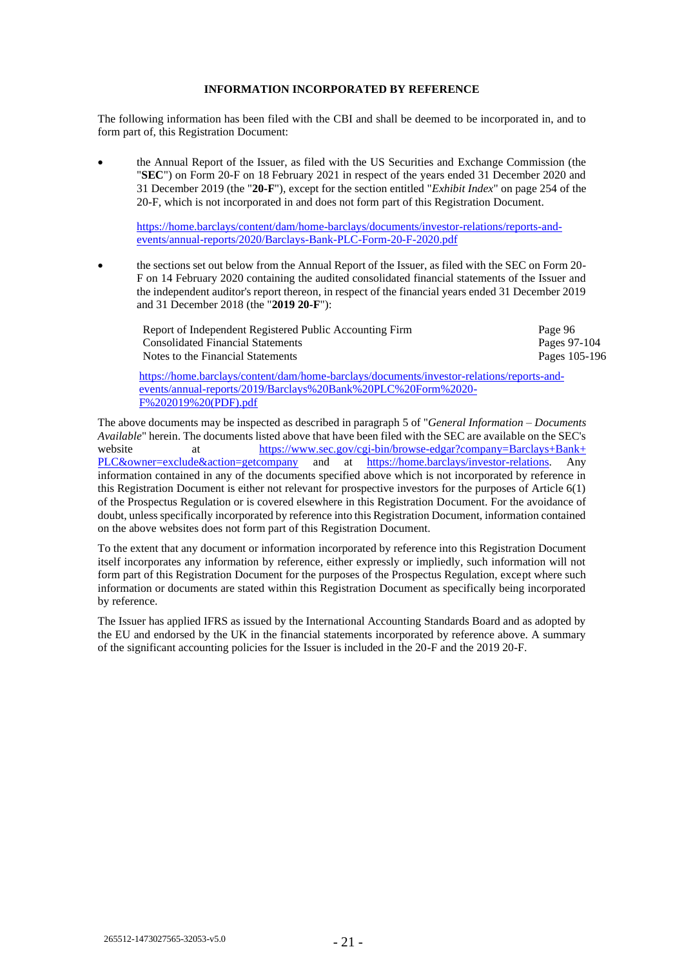## **INFORMATION INCORPORATED BY REFERENCE**

The following information has been filed with the CBI and shall be deemed to be incorporated in, and to form part of, this Registration Document:

• the Annual Report of the Issuer, as filed with the US Securities and Exchange Commission (the "**SEC**") on Form 20-F on 18 February 2021 in respect of the years ended 31 December 2020 and 31 December 2019 (the "**20-F**"), except for the section entitled "*Exhibit Index*" on page 254 of the 20-F, which is not incorporated in and does not form part of this Registration Document.

[https://home.barclays/content/dam/home-barclays/documents/investor-relations/reports-and](https://home.barclays/content/dam/home-barclays/documents/investor-relations/reports-and-events/annual-reports/2020/Barclays-Bank-PLC-Form-20-F-2020.pdf)[events/annual-reports/2020/Barclays-Bank-PLC-Form-20-F-2020.pdf](https://home.barclays/content/dam/home-barclays/documents/investor-relations/reports-and-events/annual-reports/2020/Barclays-Bank-PLC-Form-20-F-2020.pdf)

• the sections set out below from the Annual Report of the Issuer, as filed with the SEC on Form 20- F on 14 February 2020 containing the audited consolidated financial statements of the Issuer and the independent auditor's report thereon, in respect of the financial years ended 31 December 2019 and 31 December 2018 (the "**2019 20-F**"):

| Report of Independent Registered Public Accounting Firm | Page 96       |
|---------------------------------------------------------|---------------|
| <b>Consolidated Financial Statements</b>                | Pages 97-104  |
| Notes to the Financial Statements                       | Pages 105-196 |
|                                                         |               |

[https://home.barclays/content/dam/home-barclays/documents/investor-relations/reports-and](https://home.barclays/content/dam/home-barclays/documents/investor-relations/reports-and-events/annual-reports/2019/Barclays%20Bank%20PLC%20Form%2020-F%202019%20(PDF).pdf)[events/annual-reports/2019/Barclays%20Bank%20PLC%20Form%2020-](https://home.barclays/content/dam/home-barclays/documents/investor-relations/reports-and-events/annual-reports/2019/Barclays%20Bank%20PLC%20Form%2020-F%202019%20(PDF).pdf) [F%202019%20\(PDF\).pdf](https://home.barclays/content/dam/home-barclays/documents/investor-relations/reports-and-events/annual-reports/2019/Barclays%20Bank%20PLC%20Form%2020-F%202019%20(PDF).pdf)

The above documents may be inspected as described in paragraph [5](#page-29-0) of "*General Information – Documents Available*" herein. The documents listed above that have been filed with the SEC are available on the SEC's website at [https://www.sec.gov/cgi-bin/browse-edgar?company=Barclays+Bank+](https://www.sec.gov/cgibin/browseedgar?company=Barclays+Bank+PLC&owner=exclude&action=getcompany) [PLC&owner=exclude&action=getcompany](https://www.sec.gov/cgibin/browseedgar?company=Barclays+Bank+PLC&owner=exclude&action=getcompany) and at [https://home.barclays/investor-relations.](https://home.barclays/investor-relations) Any information contained in any of the documents specified above which is not incorporated by reference in this Registration Document is either not relevant for prospective investors for the purposes of Article 6(1) of the Prospectus Regulation or is covered elsewhere in this Registration Document. For the avoidance of doubt, unless specifically incorporated by reference into this Registration Document, information contained on the above websites does not form part of this Registration Document.

To the extent that any document or information incorporated by reference into this Registration Document itself incorporates any information by reference, either expressly or impliedly, such information will not form part of this Registration Document for the purposes of the Prospectus Regulation, except where such information or documents are stated within this Registration Document as specifically being incorporated by reference.

The Issuer has applied IFRS as issued by the International Accounting Standards Board and as adopted by the EU and endorsed by the UK in the financial statements incorporated by reference above. A summary of the significant accounting policies for the Issuer is included in the 20-F and the 2019 20-F.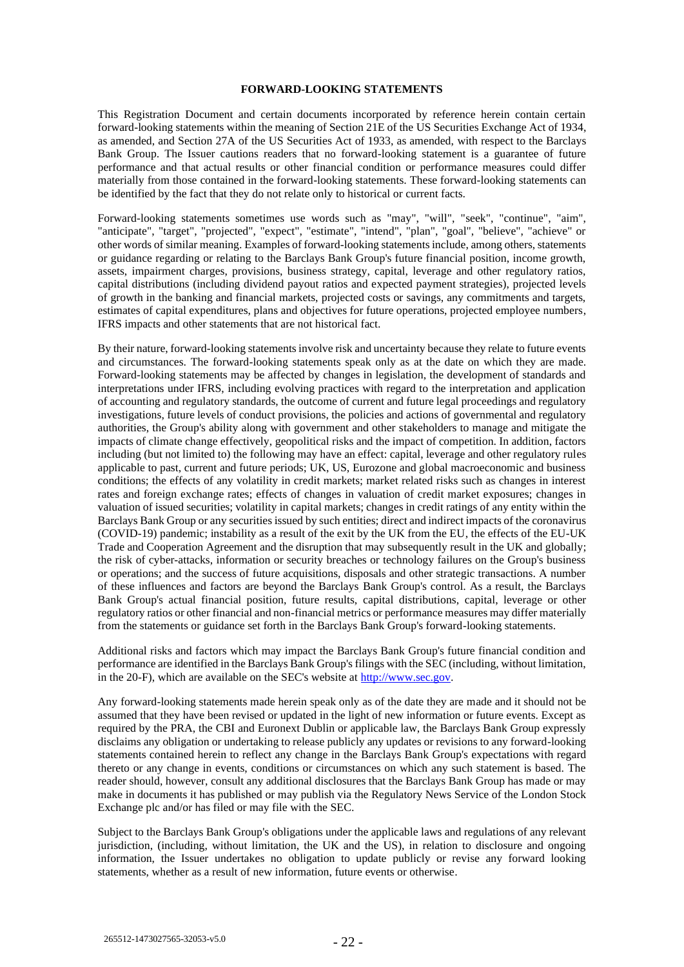#### **FORWARD-LOOKING STATEMENTS**

This Registration Document and certain documents incorporated by reference herein contain certain forward-looking statements within the meaning of Section 21E of the US Securities Exchange Act of 1934, as amended, and Section 27A of the US Securities Act of 1933, as amended, with respect to the Barclays Bank Group. The Issuer cautions readers that no forward-looking statement is a guarantee of future performance and that actual results or other financial condition or performance measures could differ materially from those contained in the forward-looking statements. These forward-looking statements can be identified by the fact that they do not relate only to historical or current facts.

Forward-looking statements sometimes use words such as "may", "will", "seek", "continue", "aim", "anticipate", "target", "projected", "expect", "estimate", "intend", "plan", "goal", "believe", "achieve" or other words of similar meaning. Examples of forward-looking statements include, among others, statements or guidance regarding or relating to the Barclays Bank Group's future financial position, income growth, assets, impairment charges, provisions, business strategy, capital, leverage and other regulatory ratios, capital distributions (including dividend payout ratios and expected payment strategies), projected levels of growth in the banking and financial markets, projected costs or savings, any commitments and targets, estimates of capital expenditures, plans and objectives for future operations, projected employee numbers, IFRS impacts and other statements that are not historical fact.

By their nature, forward-looking statements involve risk and uncertainty because they relate to future events and circumstances. The forward-looking statements speak only as at the date on which they are made. Forward-looking statements may be affected by changes in legislation, the development of standards and interpretations under IFRS, including evolving practices with regard to the interpretation and application of accounting and regulatory standards, the outcome of current and future legal proceedings and regulatory investigations, future levels of conduct provisions, the policies and actions of governmental and regulatory authorities, the Group's ability along with government and other stakeholders to manage and mitigate the impacts of climate change effectively, geopolitical risks and the impact of competition. In addition, factors including (but not limited to) the following may have an effect: capital, leverage and other regulatory rules applicable to past, current and future periods; UK, US, Eurozone and global macroeconomic and business conditions; the effects of any volatility in credit markets; market related risks such as changes in interest rates and foreign exchange rates; effects of changes in valuation of credit market exposures; changes in valuation of issued securities; volatility in capital markets; changes in credit ratings of any entity within the Barclays Bank Group or any securities issued by such entities; direct and indirect impacts of the coronavirus (COVID-19) pandemic; instability as a result of the exit by the UK from the EU, the effects of the EU-UK Trade and Cooperation Agreement and the disruption that may subsequently result in the UK and globally; the risk of cyber-attacks, information or security breaches or technology failures on the Group's business or operations; and the success of future acquisitions, disposals and other strategic transactions. A number of these influences and factors are beyond the Barclays Bank Group's control. As a result, the Barclays Bank Group's actual financial position, future results, capital distributions, capital, leverage or other regulatory ratios or other financial and non-financial metrics or performance measures may differ materially from the statements or guidance set forth in the Barclays Bank Group's forward-looking statements.

Additional risks and factors which may impact the Barclays Bank Group's future financial condition and performance are identified in the Barclays Bank Group's filings with the SEC (including, without limitation, in the 20-F), which are available on the SEC's website at [http://www.sec.gov.](http://www.sec.gov/)

Any forward-looking statements made herein speak only as of the date they are made and it should not be assumed that they have been revised or updated in the light of new information or future events. Except as required by the PRA, the CBI and Euronext Dublin or applicable law, the Barclays Bank Group expressly disclaims any obligation or undertaking to release publicly any updates or revisions to any forward-looking statements contained herein to reflect any change in the Barclays Bank Group's expectations with regard thereto or any change in events, conditions or circumstances on which any such statement is based. The reader should, however, consult any additional disclosures that the Barclays Bank Group has made or may make in documents it has published or may publish via the Regulatory News Service of the London Stock Exchange plc and/or has filed or may file with the SEC.

Subject to the Barclays Bank Group's obligations under the applicable laws and regulations of any relevant jurisdiction, (including, without limitation, the UK and the US), in relation to disclosure and ongoing information, the Issuer undertakes no obligation to update publicly or revise any forward looking statements, whether as a result of new information, future events or otherwise.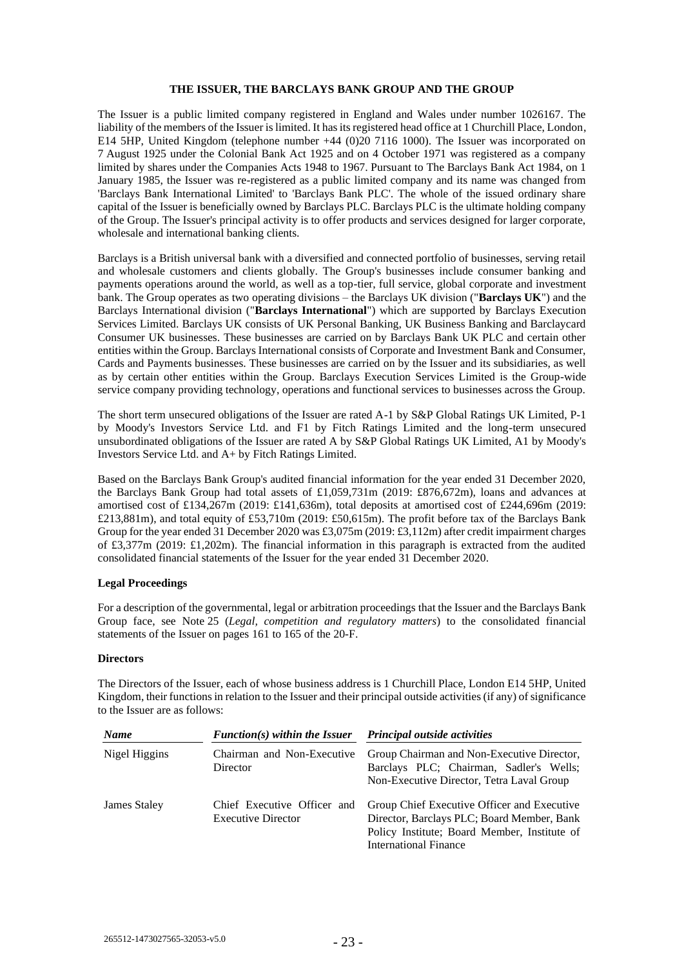### **THE ISSUER, THE BARCLAYS BANK GROUP AND THE GROUP**

The Issuer is a public limited company registered in England and Wales under number 1026167. The liability of the members of the Issuer is limited. It has its registered head office at 1 Churchill Place, London, E14 5HP, United Kingdom (telephone number +44 (0)20 7116 1000). The Issuer was incorporated on 7 August 1925 under the Colonial Bank Act 1925 and on 4 October 1971 was registered as a company limited by shares under the Companies Acts 1948 to 1967. Pursuant to The Barclays Bank Act 1984, on 1 January 1985, the Issuer was re-registered as a public limited company and its name was changed from 'Barclays Bank International Limited' to 'Barclays Bank PLC'. The whole of the issued ordinary share capital of the Issuer is beneficially owned by Barclays PLC. Barclays PLC is the ultimate holding company of the Group. The Issuer's principal activity is to offer products and services designed for larger corporate, wholesale and international banking clients.

Barclays is a British universal bank with a diversified and connected portfolio of businesses, serving retail and wholesale customers and clients globally. The Group's businesses include consumer banking and payments operations around the world, as well as a top-tier, full service, global corporate and investment bank. The Group operates as two operating divisions – the Barclays UK division ("**Barclays UK**") and the Barclays International division ("**Barclays International**") which are supported by Barclays Execution Services Limited. Barclays UK consists of UK Personal Banking, UK Business Banking and Barclaycard Consumer UK businesses. These businesses are carried on by Barclays Bank UK PLC and certain other entities within the Group. Barclays International consists of Corporate and Investment Bank and Consumer, Cards and Payments businesses. These businesses are carried on by the Issuer and its subsidiaries, as well as by certain other entities within the Group. Barclays Execution Services Limited is the Group-wide service company providing technology, operations and functional services to businesses across the Group.

The short term unsecured obligations of the Issuer are rated A-1 by S&P Global Ratings UK Limited, P-1 by Moody's Investors Service Ltd. and F1 by Fitch Ratings Limited and the long-term unsecured unsubordinated obligations of the Issuer are rated A by S&P Global Ratings UK Limited, A1 by Moody's Investors Service Ltd. and A+ by Fitch Ratings Limited.

Based on the Barclays Bank Group's audited financial information for the year ended 31 December 2020, the Barclays Bank Group had total assets of £1,059,731m (2019: £876,672m), loans and advances at amortised cost of £134,267m (2019: £141,636m), total deposits at amortised cost of £244,696m (2019: £213,881m), and total equity of £53,710m (2019: £50,615m). The profit before tax of the Barclays Bank Group for the year ended 31 December 2020 was £3,075m (2019: £3,112m) after credit impairment charges of £3,377m (2019: £1,202m). The financial information in this paragraph is extracted from the audited consolidated financial statements of the Issuer for the year ended 31 December 2020.

## **Legal Proceedings**

For a description of the governmental, legal or arbitration proceedings that the Issuer and the Barclays Bank Group face, see Note 25 (*Legal, competition and regulatory matters*) to the consolidated financial statements of the Issuer on pages 161 to 165 of the 20-F.

#### **Directors**

The Directors of the Issuer, each of whose business address is 1 Churchill Place, London E14 5HP, United Kingdom, their functions in relation to the Issuer and their principal outside activities (if any) of significance to the Issuer are as follows:

| <b>Name</b>   | $Function(s)$ within the Issuer                          | Principal outside activities                                                                                                                                              |  |
|---------------|----------------------------------------------------------|---------------------------------------------------------------------------------------------------------------------------------------------------------------------------|--|
| Nigel Higgins | Chairman and Non-Executive<br>Director                   | Group Chairman and Non-Executive Director,<br>Barclays PLC; Chairman, Sadler's Wells;<br>Non-Executive Director, Tetra Laval Group                                        |  |
| James Staley  | Chief Executive Officer and<br><b>Executive Director</b> | Group Chief Executive Officer and Executive<br>Director, Barclays PLC; Board Member, Bank<br>Policy Institute; Board Member, Institute of<br><b>International Finance</b> |  |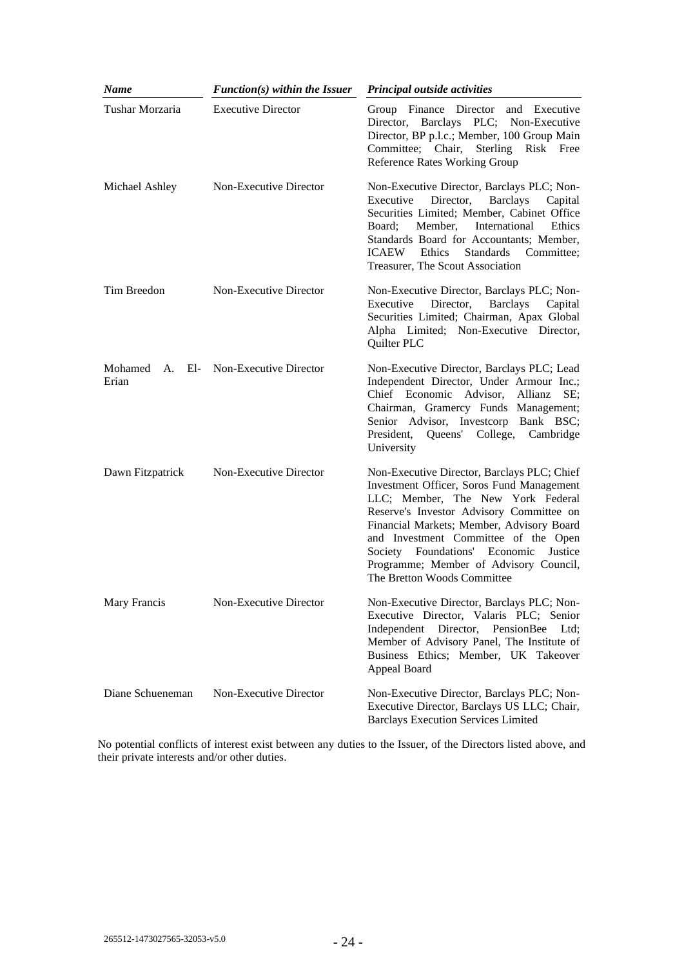| Name             | $Function(s)$ within the Issuer | Principal outside activities                                                                                                                                                                                                                                                                                                                                                           |
|------------------|---------------------------------|----------------------------------------------------------------------------------------------------------------------------------------------------------------------------------------------------------------------------------------------------------------------------------------------------------------------------------------------------------------------------------------|
| Tushar Morzaria  | <b>Executive Director</b>       | Group Finance Director<br>and Executive<br>Director, Barclays PLC; Non-Executive<br>Director, BP p.l.c.; Member, 100 Group Main<br>Sterling<br>Committee; Chair,<br>Risk Free<br><b>Reference Rates Working Group</b>                                                                                                                                                                  |
| Michael Ashley   | Non-Executive Director          | Non-Executive Director, Barclays PLC; Non-<br>Director,<br>Executive<br><b>Barclays</b><br>Capital<br>Securities Limited; Member, Cabinet Office<br>International<br>Member,<br>Ethics<br>Board:<br>Standards Board for Accountants; Member,<br><b>ICAEW</b><br>Ethics<br>Standards<br>Committee;<br>Treasurer, The Scout Association                                                  |
| Tim Breedon      | Non-Executive Director          | Non-Executive Director, Barclays PLC; Non-<br><b>Barclays</b><br>Executive<br>Director,<br>Capital<br>Securities Limited; Chairman, Apax Global<br>Alpha Limited; Non-Executive Director,<br>Quilter PLC                                                                                                                                                                               |
| Mohamed<br>Erian | A. El- Non-Executive Director   | Non-Executive Director, Barclays PLC; Lead<br>Independent Director, Under Armour Inc.;<br>Chief Economic Advisor, Allianz<br>SE:<br>Chairman, Gramercy Funds Management;<br>Senior Advisor, Investcorp Bank BSC;<br>Queens' College, Cambridge<br>President,<br>University                                                                                                             |
| Dawn Fitzpatrick | Non-Executive Director          | Non-Executive Director, Barclays PLC; Chief<br>Investment Officer, Soros Fund Management<br>LLC; Member, The New York Federal<br>Reserve's Investor Advisory Committee on<br>Financial Markets; Member, Advisory Board<br>and Investment Committee of the Open<br>Foundations' Economic<br>Justice<br>Society<br>Programme; Member of Advisory Council,<br>The Bretton Woods Committee |
| Mary Francis     | Non-Executive Director          | Non-Executive Director, Barclays PLC; Non-<br>Executive Director, Valaris PLC; Senior<br>Independent Director,<br>PensionBee<br>Ltd:<br>Member of Advisory Panel, The Institute of<br>Business Ethics; Member, UK Takeover<br>Appeal Board                                                                                                                                             |
| Diane Schueneman | Non-Executive Director          | Non-Executive Director, Barclays PLC; Non-<br>Executive Director, Barclays US LLC; Chair,<br><b>Barclays Execution Services Limited</b>                                                                                                                                                                                                                                                |

No potential conflicts of interest exist between any duties to the Issuer, of the Directors listed above, and their private interests and/or other duties.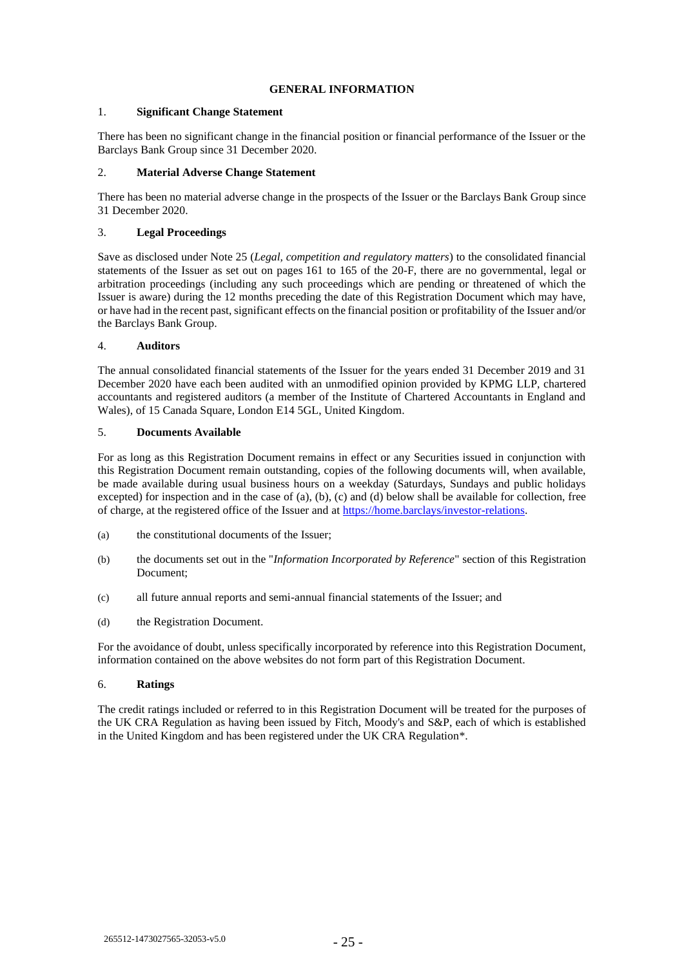## **GENERAL INFORMATION**

## 1. **Significant Change Statement**

There has been no significant change in the financial position or financial performance of the Issuer or the Barclays Bank Group since 31 December 2020.

## 2. **Material Adverse Change Statement**

There has been no material adverse change in the prospects of the Issuer or the Barclays Bank Group since 31 December 2020.

## 3. **Legal Proceedings**

Save as disclosed under Note 25 (*Legal, competition and regulatory matters*) to the consolidated financial statements of the Issuer as set out on pages 161 to 165 of the 20-F, there are no governmental, legal or arbitration proceedings (including any such proceedings which are pending or threatened of which the Issuer is aware) during the 12 months preceding the date of this Registration Document which may have, or have had in the recent past, significant effects on the financial position or profitability of the Issuer and/or the Barclays Bank Group.

## 4. **Auditors**

The annual consolidated financial statements of the Issuer for the years ended 31 December 2019 and 31 December 2020 have each been audited with an unmodified opinion provided by KPMG LLP, chartered accountants and registered auditors (a member of the Institute of Chartered Accountants in England and Wales), of 15 Canada Square, London E14 5GL, United Kingdom.

## <span id="page-29-0"></span>5. **Documents Available**

For as long as this Registration Document remains in effect or any Securities issued in conjunction with this Registration Document remain outstanding, copies of the following documents will, when available, be made available during usual business hours on a weekday (Saturdays, Sundays and public holidays excepted) for inspection and in the case of [\(a\),](#page-29-1) [\(b\),](#page-29-2) [\(c\)](#page-29-3) and [\(d\)](#page-29-4) below shall be available for collection, free of charge, at the registered office of the Issuer and at [https://home.barclays/investor-relations.](https://home.barclays/investor-relations)

- <span id="page-29-1"></span>(a) the constitutional documents of the Issuer;
- <span id="page-29-2"></span>(b) the documents set out in the "*Information Incorporated by Reference*" section of this Registration Document;
- <span id="page-29-3"></span>(c) all future annual reports and semi-annual financial statements of the Issuer; and
- <span id="page-29-4"></span>(d) the Registration Document.

For the avoidance of doubt, unless specifically incorporated by reference into this Registration Document, information contained on the above websites do not form part of this Registration Document.

## 6. **Ratings**

The credit ratings included or referred to in this Registration Document will be treated for the purposes of the UK CRA Regulation as having been issued by Fitch, Moody's and S&P, each of which is established in the United Kingdom and has been registered under the UK CRA Regulation\*.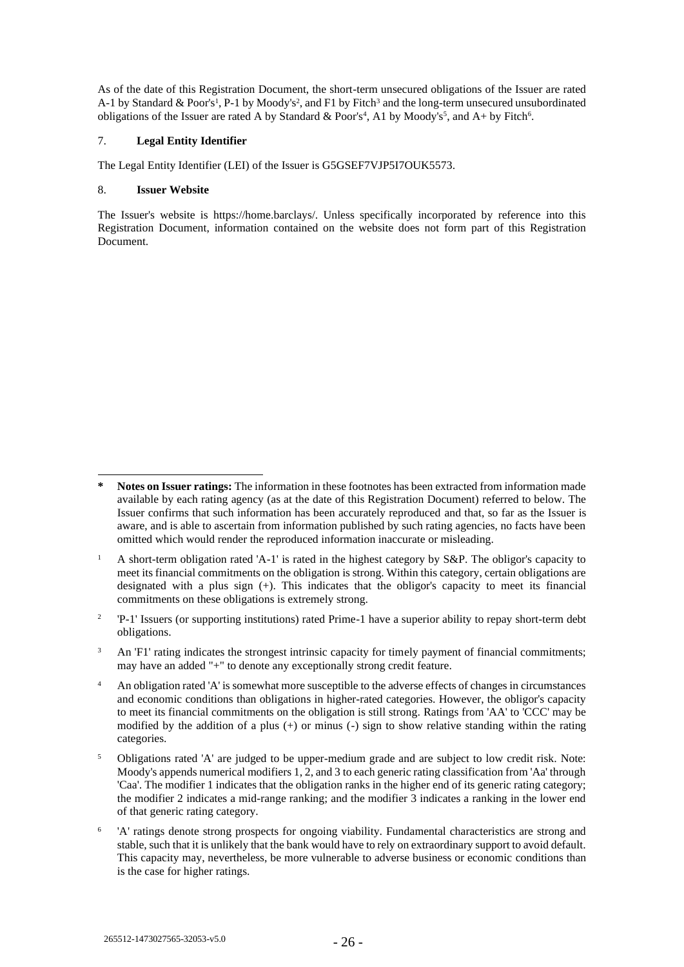As of the date of this Registration Document, the short-term unsecured obligations of the Issuer are rated A-1 by Standard & Poor's<sup>1</sup>, P-1 by Moody's<sup>2</sup>, and F1 by Fitch<sup>3</sup> and the long-term unsecured unsubordinated obligations of the Issuer are rated A by Standard & Poor's<sup>4</sup>, A1 by Moody's<sup>5</sup>, and A+ by Fitch<sup>6</sup>.

## 7. **Legal Entity Identifier**

The Legal Entity Identifier (LEI) of the Issuer is G5GSEF7VJP5I7OUK5573.

## 8. **Issuer Website**

The Issuer's website is https://home.barclays/. Unless specifically incorporated by reference into this Registration Document, information contained on the website does not form part of this Registration Document.

- $\overline{2}$ 'P-1' Issuers (or supporting institutions) rated Prime-1 have a superior ability to repay short-term debt obligations.
- <sup>3</sup> An 'F1' rating indicates the strongest intrinsic capacity for timely payment of financial commitments; may have an added "+" to denote any exceptionally strong credit feature.
- <sup>4</sup> An obligation rated 'A' is somewhat more susceptible to the adverse effects of changes in circumstances and economic conditions than obligations in higher-rated categories. However, the obligor's capacity to meet its financial commitments on the obligation is still strong. Ratings from 'AA' to 'CCC' may be modified by the addition of a plus  $(+)$  or minus  $(-)$  sign to show relative standing within the rating categories.
- <sup>5</sup> Obligations rated 'A' are judged to be upper-medium grade and are subject to low credit risk. Note: Moody's appends numerical modifiers 1, 2, and 3 to each generic rating classification from 'Aa' through 'Caa'. The modifier 1 indicates that the obligation ranks in the higher end of its generic rating category; the modifier 2 indicates a mid-range ranking; and the modifier 3 indicates a ranking in the lower end of that generic rating category.
- 6 'A' ratings denote strong prospects for ongoing viability. Fundamental characteristics are strong and stable, such that it is unlikely that the bank would have to rely on extraordinary support to avoid default. This capacity may, nevertheless, be more vulnerable to adverse business or economic conditions than is the case for higher ratings.

**<sup>\*</sup> Notes on Issuer ratings:** The information in these footnotes has been extracted from information made available by each rating agency (as at the date of this Registration Document) referred to below. The Issuer confirms that such information has been accurately reproduced and that, so far as the Issuer is aware, and is able to ascertain from information published by such rating agencies, no facts have been omitted which would render the reproduced information inaccurate or misleading.

<sup>&</sup>lt;sup>1</sup> A short-term obligation rated 'A-1' is rated in the highest category by S&P. The obligor's capacity to meet its financial commitments on the obligation is strong. Within this category, certain obligations are designated with a plus sign  $(+)$ . This indicates that the obligor's capacity to meet its financial commitments on these obligations is extremely strong.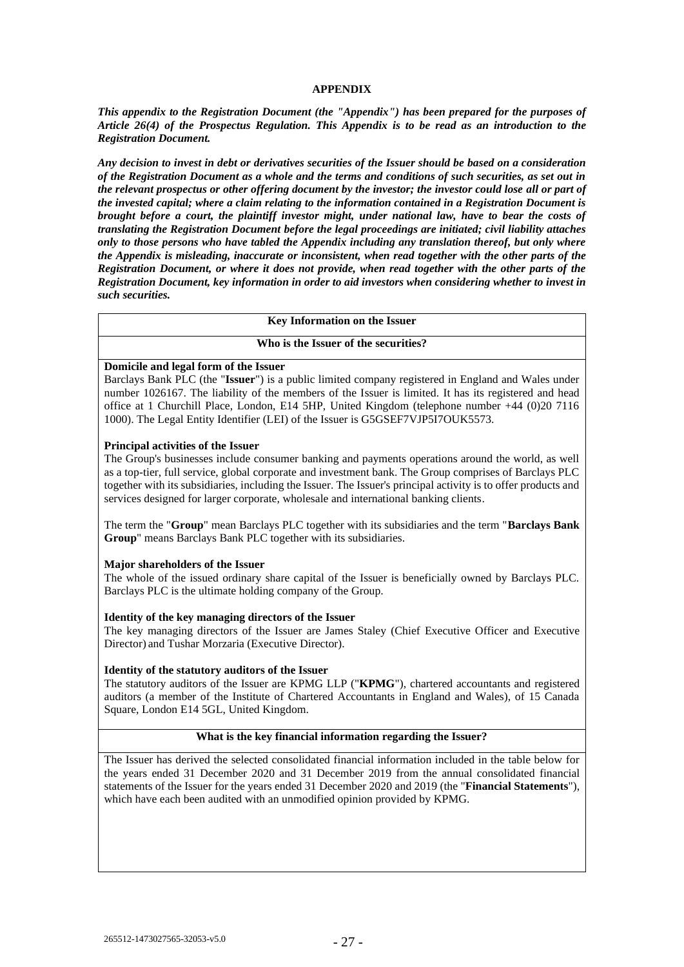## **APPENDIX**

*This appendix to the Registration Document (the "Appendix") has been prepared for the purposes of Article 26(4) of the Prospectus Regulation. This Appendix is to be read as an introduction to the Registration Document.* 

*Any decision to invest in debt or derivatives securities of the Issuer should be based on a consideration of the Registration Document as a whole and the terms and conditions of such securities, as set out in the relevant prospectus or other offering document by the investor; the investor could lose all or part of the invested capital; where a claim relating to the information contained in a Registration Document is brought before a court, the plaintiff investor might, under national law, have to bear the costs of translating the Registration Document before the legal proceedings are initiated; civil liability attaches only to those persons who have tabled the Appendix including any translation thereof, but only where the Appendix is misleading, inaccurate or inconsistent, when read together with the other parts of the Registration Document, or where it does not provide, when read together with the other parts of the Registration Document, key information in order to aid investors when considering whether to invest in such securities.*

#### **Key Information on the Issuer**

#### **Who is the Issuer of the securities?**

#### **Domicile and legal form of the Issuer**

Barclays Bank PLC (the "**Issuer**") is a public limited company registered in England and Wales under number 1026167. The liability of the members of the Issuer is limited. It has its registered and head office at 1 Churchill Place, London, E14 5HP, United Kingdom (telephone number +44 (0)20 7116 1000). The Legal Entity Identifier (LEI) of the Issuer is G5GSEF7VJP5I7OUK5573.

#### **Principal activities of the Issuer**

The Group's businesses include consumer banking and payments operations around the world, as well as a top-tier, full service, global corporate and investment bank. The Group comprises of Barclays PLC together with its subsidiaries, including the Issuer. The Issuer's principal activity is to offer products and services designed for larger corporate, wholesale and international banking clients.

The term the "**Group**" mean Barclays PLC together with its subsidiaries and the term "**Barclays Bank Group**" means Barclays Bank PLC together with its subsidiaries.

## **Major shareholders of the Issuer**

The whole of the issued ordinary share capital of the Issuer is beneficially owned by Barclays PLC. Barclays PLC is the ultimate holding company of the Group.

## **Identity of the key managing directors of the Issuer**

The key managing directors of the Issuer are James Staley (Chief Executive Officer and Executive Director) and Tushar Morzaria (Executive Director).

#### **Identity of the statutory auditors of the Issuer**

The statutory auditors of the Issuer are KPMG LLP ("**KPMG**"), chartered accountants and registered auditors (a member of the Institute of Chartered Accountants in England and Wales), of 15 Canada Square, London E14 5GL, United Kingdom.

# **What is the key financial information regarding the Issuer?**

The Issuer has derived the selected consolidated financial information included in the table below for the years ended 31 December 2020 and 31 December 2019 from the annual consolidated financial statements of the Issuer for the years ended 31 December 2020 and 2019 (the "**Financial Statements**"), which have each been audited with an unmodified opinion provided by KPMG.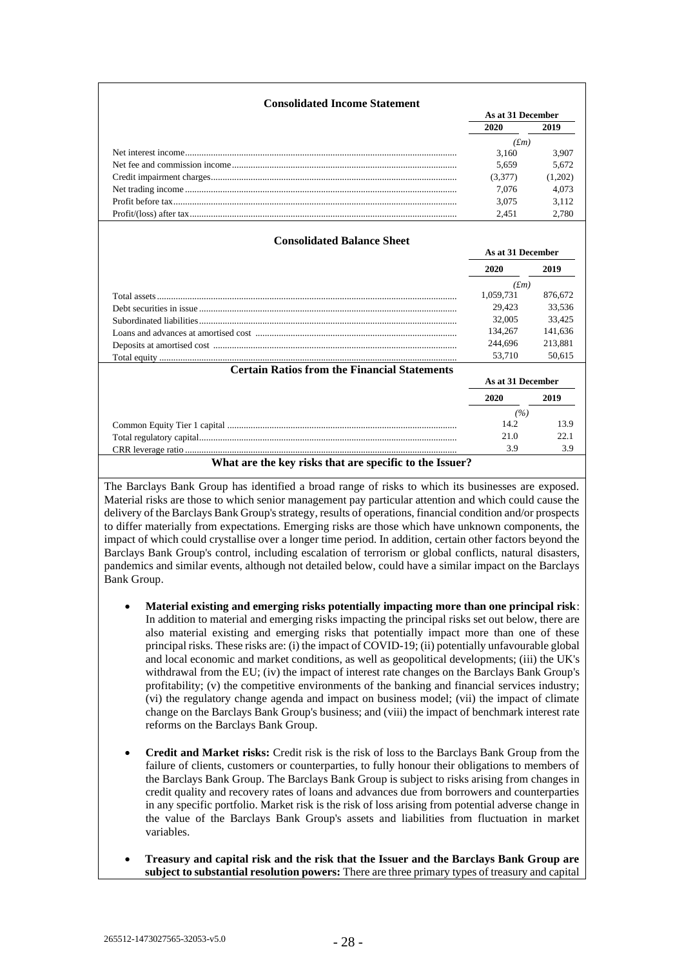| <b>Consolidated Income Statement</b>                |                   |         |
|-----------------------------------------------------|-------------------|---------|
|                                                     | As at 31 December |         |
|                                                     | 2020              | 2019    |
|                                                     | (fm)              |         |
|                                                     | 3.160             | 3.907   |
|                                                     | 5,659             | 5,672   |
|                                                     | (3,377)           | (1,202) |
|                                                     | 7,076             | 4,073   |
|                                                     | 3,075             | 3,112   |
|                                                     | 2,451             | 2.780   |
| <b>Consolidated Balance Sheet</b>                   | As at 31 December |         |
|                                                     | 2020              | 2019    |
|                                                     | (fm)              |         |
|                                                     | 1,059,731         | 876,672 |
|                                                     | 29.423            | 33,536  |
|                                                     |                   | 33.425  |
|                                                     | 32,005            |         |
|                                                     | 134,267           | 141,636 |
|                                                     | 244,696           | 213,881 |
|                                                     | 53,710            | 50,615  |
| <b>Certain Ratios from the Financial Statements</b> |                   |         |
|                                                     | As at 31 December |         |
|                                                     | 2020              | 2019    |
|                                                     | (%)               |         |
|                                                     | 14.2              | 13.9    |
|                                                     | 21.0              | 22.1    |
|                                                     | 3.9               | 3.9     |

The Barclays Bank Group has identified a broad range of risks to which its businesses are exposed. Material risks are those to which senior management pay particular attention and which could cause the delivery of the Barclays Bank Group's strategy, results of operations, financial condition and/or prospects to differ materially from expectations. Emerging risks are those which have unknown components, the impact of which could crystallise over a longer time period. In addition, certain other factors beyond the Barclays Bank Group's control, including escalation of terrorism or global conflicts, natural disasters, pandemics and similar events, although not detailed below, could have a similar impact on the Barclays Bank Group.

- **Material existing and emerging risks potentially impacting more than one principal risk**: In addition to material and emerging risks impacting the principal risks set out below, there are also material existing and emerging risks that potentially impact more than one of these principal risks. These risks are: (i) the impact of COVID-19; (ii) potentially unfavourable global and local economic and market conditions, as well as geopolitical developments; (iii) the UK's withdrawal from the EU; (iv) the impact of interest rate changes on the Barclays Bank Group's profitability; (v) the competitive environments of the banking and financial services industry; (vi) the regulatory change agenda and impact on business model; (vii) the impact of climate change on the Barclays Bank Group's business; and (viii) the impact of benchmark interest rate reforms on the Barclays Bank Group.
- **Credit and Market risks:** Credit risk is the risk of loss to the Barclays Bank Group from the failure of clients, customers or counterparties, to fully honour their obligations to members of the Barclays Bank Group. The Barclays Bank Group is subject to risks arising from changes in credit quality and recovery rates of loans and advances due from borrowers and counterparties in any specific portfolio. Market risk is the risk of loss arising from potential adverse change in the value of the Barclays Bank Group's assets and liabilities from fluctuation in market variables.
- **Treasury and capital risk and the risk that the Issuer and the Barclays Bank Group are subject to substantial resolution powers:** There are three primary types of treasury and capital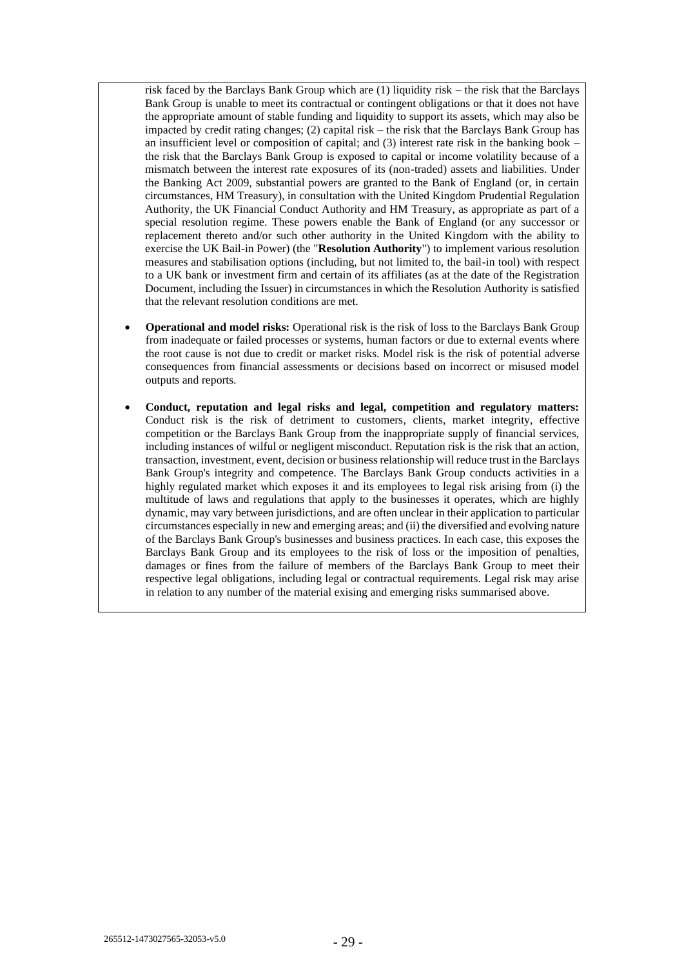risk faced by the Barclays Bank Group which are (1) liquidity risk – the risk that the Barclays Bank Group is unable to meet its contractual or contingent obligations or that it does not have the appropriate amount of stable funding and liquidity to support its assets, which may also be impacted by credit rating changes; (2) capital risk – the risk that the Barclays Bank Group has an insufficient level or composition of capital; and (3) interest rate risk in the banking book – the risk that the Barclays Bank Group is exposed to capital or income volatility because of a mismatch between the interest rate exposures of its (non-traded) assets and liabilities. Under the Banking Act 2009, substantial powers are granted to the Bank of England (or, in certain circumstances, HM Treasury), in consultation with the United Kingdom Prudential Regulation Authority, the UK Financial Conduct Authority and HM Treasury, as appropriate as part of a special resolution regime. These powers enable the Bank of England (or any successor or replacement thereto and/or such other authority in the United Kingdom with the ability to exercise the UK Bail-in Power) (the "**Resolution Authority**") to implement various resolution measures and stabilisation options (including, but not limited to, the bail-in tool) with respect to a UK bank or investment firm and certain of its affiliates (as at the date of the Registration Document, including the Issuer) in circumstances in which the Resolution Authority is satisfied that the relevant resolution conditions are met.

- **Operational and model risks:** Operational risk is the risk of loss to the Barclays Bank Group from inadequate or failed processes or systems, human factors or due to external events where the root cause is not due to credit or market risks. Model risk is the risk of potential adverse consequences from financial assessments or decisions based on incorrect or misused model outputs and reports.
- **Conduct, reputation and legal risks and legal, competition and regulatory matters:**  Conduct risk is the risk of detriment to customers, clients, market integrity, effective competition or the Barclays Bank Group from the inappropriate supply of financial services, including instances of wilful or negligent misconduct. Reputation risk is the risk that an action, transaction, investment, event, decision or business relationship will reduce trust in the Barclays Bank Group's integrity and competence. The Barclays Bank Group conducts activities in a highly regulated market which exposes it and its employees to legal risk arising from (i) the multitude of laws and regulations that apply to the businesses it operates, which are highly dynamic, may vary between jurisdictions, and are often unclear in their application to particular circumstances especially in new and emerging areas; and (ii) the diversified and evolving nature of the Barclays Bank Group's businesses and business practices. In each case, this exposes the Barclays Bank Group and its employees to the risk of loss or the imposition of penalties, damages or fines from the failure of members of the Barclays Bank Group to meet their respective legal obligations, including legal or contractual requirements. Legal risk may arise in relation to any number of the material exising and emerging risks summarised above.